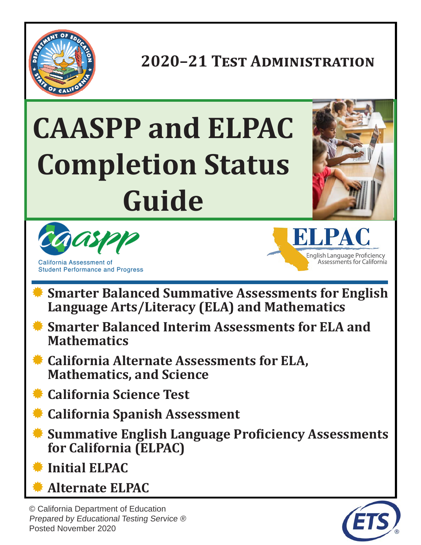

**2020–21 Test Administration**

# **CAASPP and ELPAC Completion Status Guide**





California Assessment of **Student Performance and Progress** 



- **Smarter Balanced Summative Assessments for English Language Arts/Literacy (ELA) and Mathematics**
- **Smarter Balanced Interim Assessments for ELA and Mathematics**
- **California Alternate Assessments for ELA, Mathematics, and Science**
- $*$  **California Science Test**
- **California Spanish Assessment**
- **Summative English Language Proficiency Assessments for California (ELPAC)**
- **Initial ELPAC**
- **Alternate ELPAC**

© California Department of Education Prepared by Educational Testing Service ® Posted November 2020

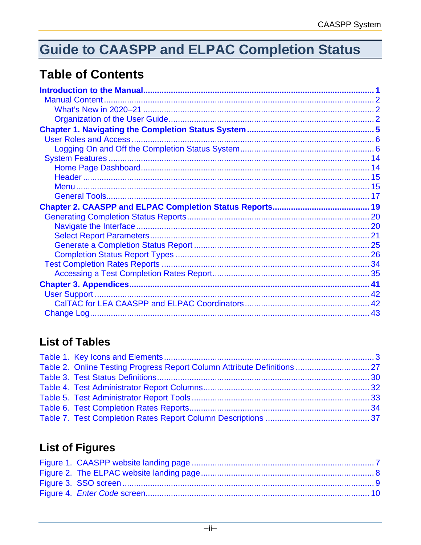## Guide to CAASPP and ELPAC Completion Status

## **Table of Contents**

## **List of Tables**

| Table 2. Online Testing Progress Report Column Attribute Definitions  27 |  |
|--------------------------------------------------------------------------|--|
|                                                                          |  |
|                                                                          |  |
|                                                                          |  |
|                                                                          |  |
|                                                                          |  |

## **List of Figures**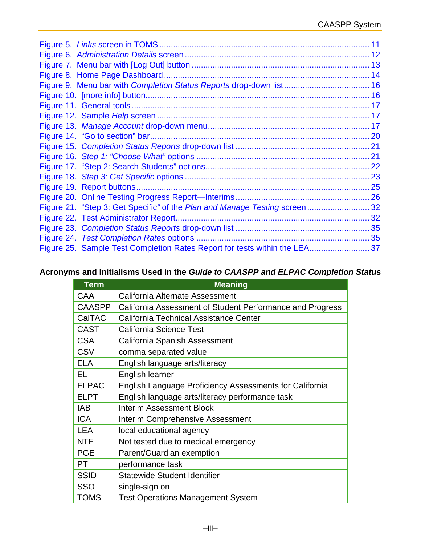| Figure 9. Menu bar with Completion Status Reports drop-down list 16        |  |
|----------------------------------------------------------------------------|--|
|                                                                            |  |
|                                                                            |  |
|                                                                            |  |
|                                                                            |  |
|                                                                            |  |
|                                                                            |  |
|                                                                            |  |
|                                                                            |  |
|                                                                            |  |
|                                                                            |  |
|                                                                            |  |
| Figure 21. "Step 3: Get Specific" of the Plan and Manage Testing screen 32 |  |
|                                                                            |  |
|                                                                            |  |
|                                                                            |  |
| Figure 25. Sample Test Completion Rates Report for tests within the LEA 37 |  |

#### **Acronyms and Initialisms Used in the** *Guide to CAASPP and ELPAC Completion Status*

| <b>Term</b>   | <b>Meaning</b>                                                 |
|---------------|----------------------------------------------------------------|
| CAA           | California Alternate Assessment                                |
| <b>CAASPP</b> | California Assessment of Student Performance and Progress      |
| CalTAC        | <b>California Technical Assistance Center</b>                  |
| <b>CAST</b>   | <b>California Science Test</b>                                 |
| <b>CSA</b>    | California Spanish Assessment                                  |
| <b>CSV</b>    | comma separated value                                          |
| <b>ELA</b>    | English language arts/literacy                                 |
| EL            | English learner                                                |
| <b>ELPAC</b>  | <b>English Language Proficiency Assessments for California</b> |
| <b>ELPT</b>   | English language arts/literacy performance task                |
| <b>IAB</b>    | <b>Interim Assessment Block</b>                                |
| <b>ICA</b>    | <b>Interim Comprehensive Assessment</b>                        |
| <b>LEA</b>    | local educational agency                                       |
| <b>NTE</b>    | Not tested due to medical emergency                            |
| <b>PGE</b>    | Parent/Guardian exemption                                      |
| PT            | performance task                                               |
| <b>SSID</b>   | <b>Statewide Student Identifier</b>                            |
| SSO           | single-sign on                                                 |
| <b>TOMS</b>   | <b>Test Operations Management System</b>                       |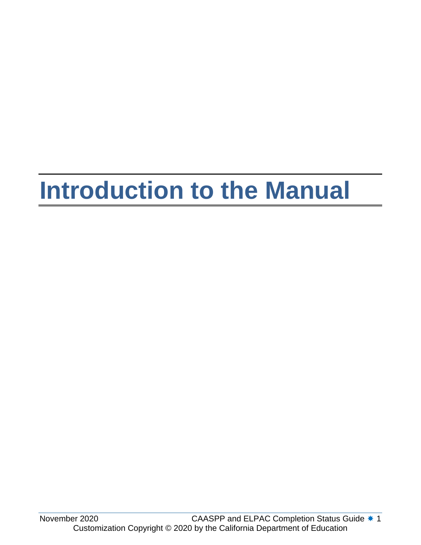## <span id="page-4-0"></span>**Introduction to the Manual**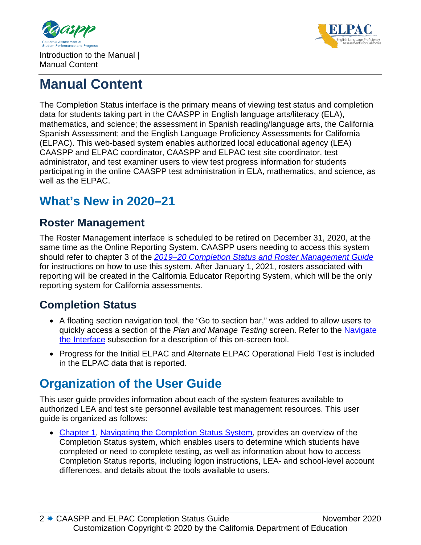



## <span id="page-5-0"></span>**Manual Content**

The Completion Status interface is the primary means of viewing test status and completion data for students taking part in the CAASPP in English language arts/literacy (ELA), mathematics, and science; the assessment in Spanish reading/language arts, the California Spanish Assessment; and the English Language Proficiency Assessments for California (ELPAC). This web-based system enables authorized local educational agency (LEA) CAASPP and ELPAC coordinator, CAASPP and ELPAC test site coordinator, test administrator, and test examiner users to view test progress information for students participating in the online CAASPP test administration in ELA, mathematics, and science, as well as the ELPAC.

## <span id="page-5-1"></span>**What's New in 2020–21**

### **Roster Management**

The Roster Management interface is scheduled to be retired on December 31, 2020, at the same time as the Online Reporting System. CAASPP users needing to access this system should refer to chapter 3 of the *2019–20 [Completion Status and Roster Management Guide](https://www.caaspp.org/rsc/pdfs/CAASPP-ELPAC.completion-status-roster-management-guide.2019-20.pdf)* for instructions on how to use this system. After January 1, 2021, rosters associated with reporting will be created in the California Educator Reporting System, which will be the only reporting system for California assessments.

## **Completion Status**

- A floating section navigation tool, the "Go to section bar," was added to allow users to quickly access a section of the *Plan and Manage Testing* screen. Refer to the [Navigate](#page-23-1)  [the Interface](#page-23-1) subsection for a description of this on-screen tool.
- Progress for the Initial ELPAC and Alternate ELPAC Operational Field Test is included in the ELPAC data that is reported.

## <span id="page-5-2"></span>**Organization of the User Guide**

This user guide provides information about each of the system features available to authorized LEA and test site personnel available test management resources. This user guide is organized as follows:

• [Chapter 1, Navigating the Completion Status System,](#page-8-1) provides an overview of the Completion Status system, which enables users to determine which students have completed or need to complete testing, as well as information about how to access Completion Status reports, including logon instructions, LEA- and school-level account differences, and details about the tools available to users.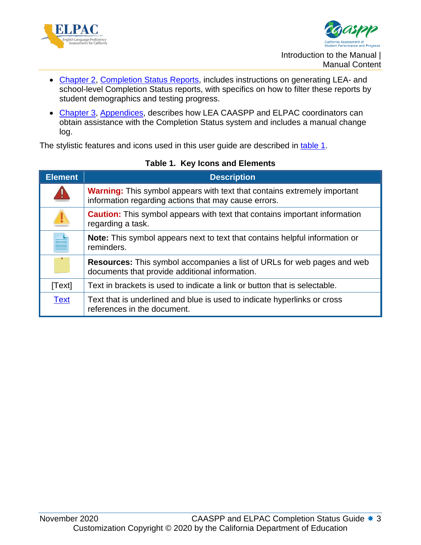



- [Chapter 2, Completion Status Reports,](#page-22-1) includes instructions on generating LEA- and school-level Completion Status reports, with specifics on how to filter these reports by student demographics and testing progress.
- [Chapter 3, Appendices,](#page-44-1) describes how LEA CAASPP and ELPAC coordinators can obtain assistance with the Completion Status system and includes a manual change log.

<span id="page-6-0"></span>The stylistic features and icons used in this user guide are described in [table 1.](#page-6-0)

| <b>Element</b>   | <b>Description</b>                                                                                                                      |
|------------------|-----------------------------------------------------------------------------------------------------------------------------------------|
| ∕ R              | <b>Warning:</b> This symbol appears with text that contains extremely important<br>information regarding actions that may cause errors. |
| $\blacktriangle$ | <b>Caution:</b> This symbol appears with text that contains important information<br>regarding a task.                                  |
|                  | Note: This symbol appears next to text that contains helpful information or<br>reminders.                                               |
|                  | <b>Resources:</b> This symbol accompanies a list of URLs for web pages and web<br>documents that provide additional information.        |
| [Text]           | Text in brackets is used to indicate a link or button that is selectable.                                                               |
| <b>Text</b>      | Text that is underlined and blue is used to indicate hyperlinks or cross<br>references in the document.                                 |

#### **Table 1. Key Icons and Elements**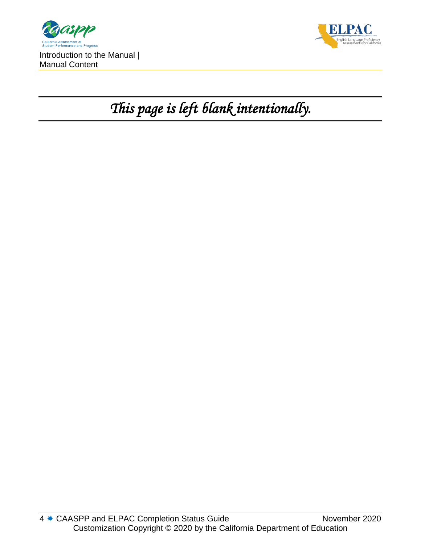

Introduction to the Manual | Manual Content



## *This page is left blank intentionally.*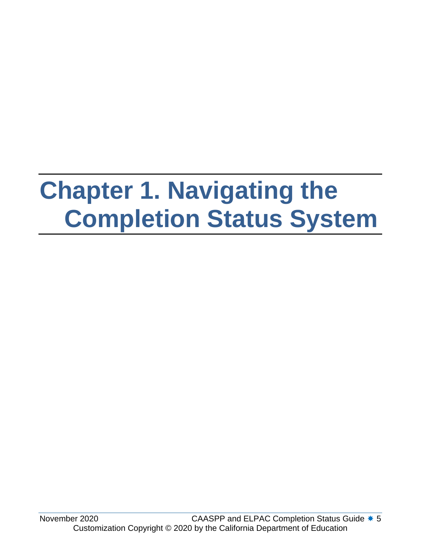## <span id="page-8-1"></span><span id="page-8-0"></span>**Chapter 1. Navigating the Completion Status System**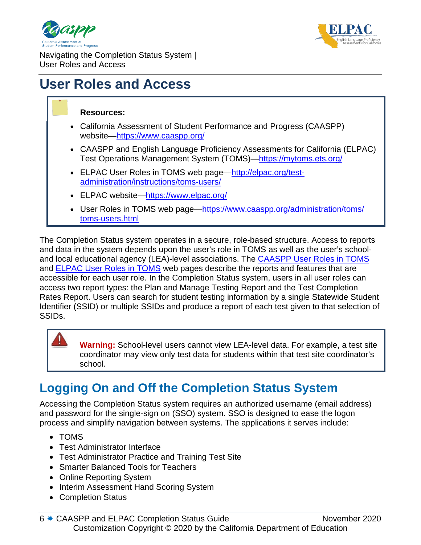



## <span id="page-9-0"></span>**User Roles and Access**

#### **Resources:**

- California Assessment of Student Performance and Progress (CAASPP) website[—https://www.caaspp.org/](https://www.caaspp.org/)
- CAASPP and English Language Proficiency Assessments for California (ELPAC) Test Operations Management System (TOMS)[—https://mytoms.ets.org/](https://mytoms.ets.org/)
- ELPAC User Roles in TOMS web page-http://elpac.org/test[administration/instructions/toms-users/](http://elpac.org/test-administration/instructions/toms-users/)
- ELPAC website[—https://www.elpac.org/](https://www.elpac.org/)
- User Roles in TOMS web page[—https://www.caaspp.org/administration/toms/](https://www.caaspp.org/administration/toms/toms-users.html) [toms-users.html](https://www.caaspp.org/administration/toms/toms-users.html)

The Completion Status system operates in a secure, role-based structure. Access to reports and data in the system depends upon the user's role in TOMS as well as the user's schooland local educational agency (LEA)-level associations. The [CAASPP User Roles in TOMS](https://www.caaspp.org/administration/toms/toms-users.html) and **ELPAC User Roles in TOMS** web pages describe the reports and features that are accessible for each user role. In the Completion Status system, users in all user roles can access two report types: the Plan and Manage Testing Report and the Test Completion Rates Report. Users can search for student testing information by a single Statewide Student Identifier (SSID) or multiple SSIDs and produce a report of each test given to that selection of SSIDs.

> **Warning:** School-level users cannot view LEA-level data. For example, a test site coordinator may view only test data for students within that test site coordinator's school.

## <span id="page-9-1"></span>**Logging On and Off the Completion Status System**

Accessing the Completion Status system requires an authorized username (email address) and password for the single-sign on (SSO) system. SSO is designed to ease the logon process and simplify navigation between systems. The applications it serves include:

- TOMS
- Test Administrator Interface
- Test Administrator Practice and Training Test Site
- Smarter Balanced Tools for Teachers
- Online Reporting System
- Interim Assessment Hand Scoring System
- Completion Status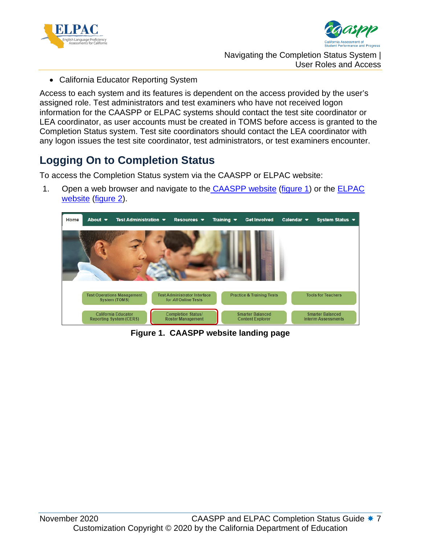



• California Educator Reporting System

Access to each system and its features is dependent on the access provided by the user's assigned role. Test administrators and test examiners who have not received logon information for the CAASPP or ELPAC systems should contact the test site coordinator or LEA coordinator, as user accounts must be created in TOMS before access is granted to the Completion Status system. Test site coordinators should contact the LEA coordinator with any logon issues the test site coordinator, test administrators, or test examiners encounter.

## **Logging On to Completion Status**

To access the Completion Status system via the CAASPP or ELPAC website:

1. Open a web browser and navigate to the **CAASPP** website [\(figure 1\)](#page-10-0) or the **ELPAC** [website](https://www.elpac.org/) [\(figure 2\)](#page-11-0).

<span id="page-10-0"></span>

**Figure 1. CAASPP website landing page**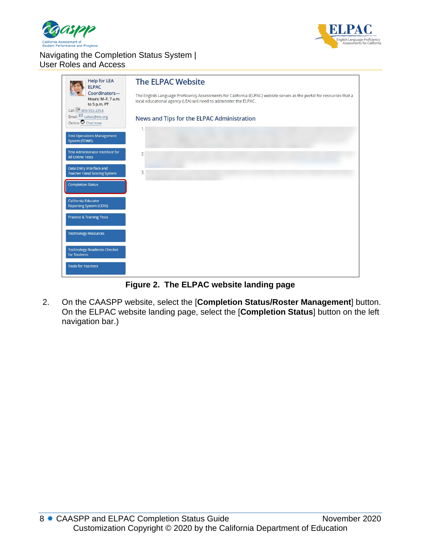



| <b>Help for LEA</b><br><b>ELPAC</b>                                               | <b>The ELPAC Website</b>                                                                                                                                                                   |
|-----------------------------------------------------------------------------------|--------------------------------------------------------------------------------------------------------------------------------------------------------------------------------------------|
| Coordinators-<br>Hours: M-F, 7 a.m.<br>to 5 p.m. PT<br>Call <b>1 800-955-2954</b> | The English Language Proficiency Assessments for California (ELPAC) website serves as the portal for resources that a<br>local educational agency (LEA) will need to administer the ELPAC. |
| Email & caltac@ets.org<br>Online O Chat now                                       | News and Tips for the ELPAC Administration<br>1.                                                                                                                                           |
| <b>Test Operations Management</b><br>System (TOMS)                                |                                                                                                                                                                                            |
| <b>Test Administrator Interface for</b><br><b>All Online Tests</b>                | 2.                                                                                                                                                                                         |
| Data Entry Interface and<br><b>Teacher Hand Scoring System</b>                    | 3.                                                                                                                                                                                         |
| <b>Completion Status</b>                                                          |                                                                                                                                                                                            |
| California Educator<br><b>Reporting System (CERS)</b>                             |                                                                                                                                                                                            |
| <b>Practice &amp; Training Tests</b>                                              |                                                                                                                                                                                            |
| <b>Technology Resources</b>                                                       |                                                                                                                                                                                            |
| <b>Technology Readiness Checker</b><br>for Students                               |                                                                                                                                                                                            |
| <b>Tools for Teachers</b>                                                         |                                                                                                                                                                                            |

**Figure 2. The ELPAC website landing page**

<span id="page-11-0"></span>2. On the CAASPP website, select the [**Completion Status/Roster Management**] button. On the ELPAC website landing page, select the [**Completion Status**] button on the left navigation bar.)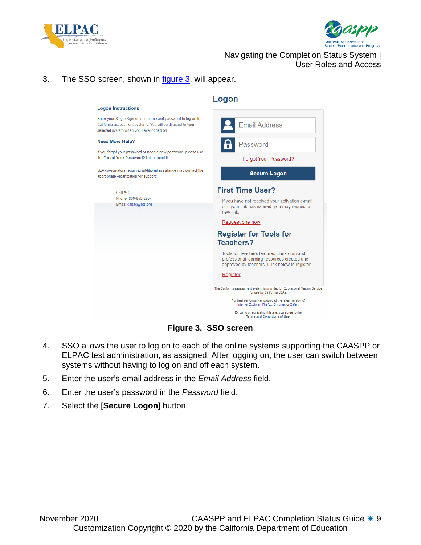



#### 3. The SSO screen, shown in [figure 3,](#page-12-0) will appear.



**Figure 3. SSO screen**

- <span id="page-12-0"></span>4. SSO allows the user to log on to each of the online systems supporting the CAASPP or ELPAC test administration, as assigned. After logging on, the user can switch between systems without having to log on and off each system.
- 5. Enter the user's email address in the *Email Address* field.
- 6. Enter the user's password in the *Password* field.
- 7. Select the [**Secure Logon**] button.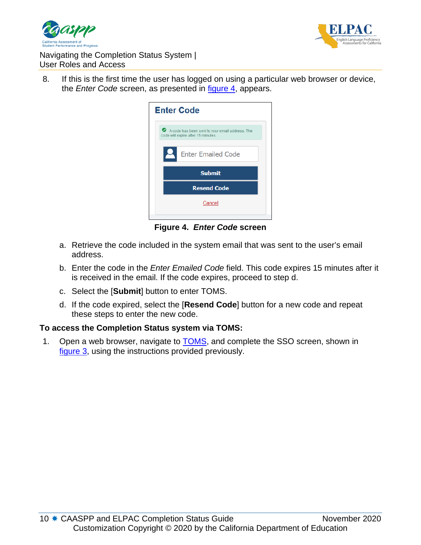



8. If this is the first time the user has logged on using a particular web browser or device, the *Enter Code* screen, as presented in [figure 4,](#page-13-0) appears.

| <b>Enter Code</b>                                                                     |
|---------------------------------------------------------------------------------------|
| A code has been sent to your email address. The<br>code will expire after 15 minutes. |
| <b>Enter Emailed Code</b>                                                             |
| <b>Submit</b>                                                                         |
| <b>Resend Code</b>                                                                    |
| Cancel                                                                                |
|                                                                                       |

**Figure 4.** *Enter Code* **screen**

- <span id="page-13-0"></span>a. Retrieve the code included in the system email that was sent to the user's email address.
- b. Enter the code in the *Enter Emailed Code* field. This code expires 15 minutes after it is received in the email. If the code expires, proceed to step d.
- c. Select the [**Submit**] button to enter TOMS.
- d. If the code expired, select the [**Resend Code**] button for a new code and repeat these steps to enter the new code.

#### **To access the Completion Status system via TOMS:**

1. Open a web browser, navigate to [TOMS,](https://mytoms.ets.org/) and complete the SSO screen, shown in [figure 3,](#page-12-0) using the instructions provided previously.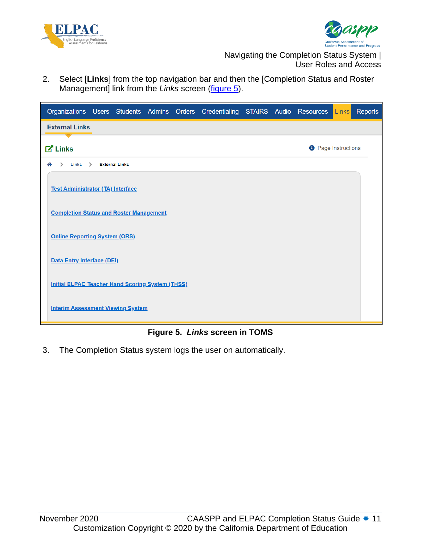



2. Select [**Links**] from the top navigation bar and then the [Completion Status and Roster Management] link from the *Links* screen [\(figure 5\)](#page-14-0).

|                                                  |               |                       |  | Organizations Users Students Admins Orders Credentialing STAIRS Audio Resources |  |                            | <b>Links</b> | Reports |
|--------------------------------------------------|---------------|-----------------------|--|---------------------------------------------------------------------------------|--|----------------------------|--------------|---------|
| <b>External Links</b>                            |               |                       |  |                                                                                 |  |                            |              |         |
| $\mathbb{Z}$ Links                               |               |                       |  |                                                                                 |  | <b>O</b> Page Instructions |              |         |
| Links<br>合<br>⋋                                  | $\rightarrow$ | <b>External Links</b> |  |                                                                                 |  |                            |              |         |
| <b>Test Administrator (TA) Interface</b>         |               |                       |  |                                                                                 |  |                            |              |         |
| <b>Completion Status and Roster Management</b>   |               |                       |  |                                                                                 |  |                            |              |         |
| <b>Online Reporting System (ORS)</b>             |               |                       |  |                                                                                 |  |                            |              |         |
| Data Entry Interface (DEI)                       |               |                       |  |                                                                                 |  |                            |              |         |
| Initial ELPAC Teacher Hand Scoring System (THSS) |               |                       |  |                                                                                 |  |                            |              |         |
| <b>Interim Assessment Viewing System</b>         |               |                       |  |                                                                                 |  |                            |              |         |

#### **Figure 5.** *Links* **screen in TOMS**

<span id="page-14-0"></span>3. The Completion Status system logs the user on automatically.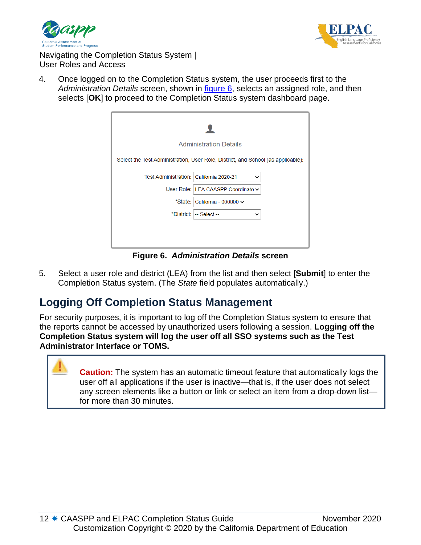



4. Once logged on to the Completion Status system, the user proceeds first to the *Administration Details* screen, shown in [figure 6,](#page-15-0) selects an assigned role, and then selects [**OK**] to proceed to the Completion Status system dashboard page.

| <b>Administration Details</b>                                                    |
|----------------------------------------------------------------------------------|
| Select the Test Administration, User Role, District, and School (as applicable): |
| Test Administration:   California 2020-21<br>$\check{ }$                         |
| User Role: LEA CAASPP Coordinato v                                               |
| *State: California - 000000 v                                                    |
| *District:<br>$-$ Select $-$<br>◡                                                |
|                                                                                  |
|                                                                                  |

**Figure 6.** *Administration Details* **screen**

<span id="page-15-0"></span>5. Select a user role and district (LEA) from the list and then select [**Submit**] to enter the Completion Status system. (The *State* field populates automatically.)

## **Logging Off Completion Status Management**

For security purposes, it is important to log off the Completion Status system to ensure that the reports cannot be accessed by unauthorized users following a session. **Logging off the Completion Status system will log the user off all SSO systems such as the Test Administrator Interface or TOMS.**

> **Caution:** The system has an automatic timeout feature that automatically logs the user off all applications if the user is inactive—that is, if the user does not select any screen elements like a button or link or select an item from a drop-down list for more than 30 minutes.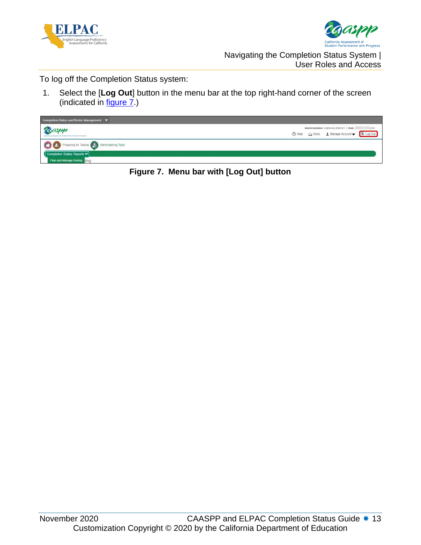



To log off the Completion Status system:

1. Select the [**Log Out**] button in the menu bar at the top right-hand corner of the screen (indicated in [figure 7.](#page-16-0))

<span id="page-16-0"></span>

| Completion Status and Roster Management                                                                              |                                                                                                   |
|----------------------------------------------------------------------------------------------------------------------|---------------------------------------------------------------------------------------------------|
| cgaspp                                                                                                               | Administration: California 2020-21   User:<br>(DC)<br>⑦ Help △ Inbox L Manage Account ▼ B Log Out |
| California Assessment of Bluebell Permittenes and Progress<br><b>Co</b> Preparing for Testing Co Administering Tests |                                                                                                   |
| Completion Status Reports V                                                                                          |                                                                                                   |
| Plan and Manage Testing ting                                                                                         |                                                                                                   |

**Figure 7. Menu bar with [Log Out] button**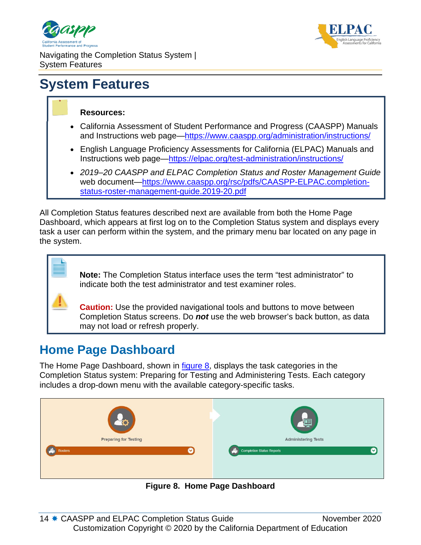



## <span id="page-17-0"></span>**System Features**

#### **Resources:**

- California Assessment of Student Performance and Progress (CAASPP) Manuals and Instructions web page[—https://www.caaspp.org/administration/instructions/](https://www.caaspp.org/administration/instructions/)
- English Language Proficiency Assessments for California (ELPAC) Manuals and Instructions web page[—https://elpac.org/test-administration/instructions/](https://elpac.org/test-administration/instructions/)
- *2019–20 CAASPP and ELPAC Completion Status and Roster Management Guide* web document[—https://www.caaspp.org/rsc/pdfs/CAASPP-ELPAC.completion](https://www.caaspp.org/rsc/pdfs/CAASPP-ELPAC.completion-status-roster-management-guide.2019-20.pdf)[status-roster-management-guide.2019-20.pdf](https://www.caaspp.org/rsc/pdfs/CAASPP-ELPAC.completion-status-roster-management-guide.2019-20.pdf)

All Completion Status features described next are available from both the Home Page Dashboard, which appears at first log on to the Completion Status system and displays every task a user can perform within the system, and the primary menu bar located on any page in the system.

> **Note:** The Completion Status interface uses the term "test administrator" to indicate both the test administrator and test examiner roles.

**Caution:** Use the provided navigational tools and buttons to move between Completion Status screens. Do *not* use the web browser's back button, as data may not load or refresh properly.

## <span id="page-17-1"></span>**Home Page Dashboard**

The Home Page Dashboard, shown in [figure 8,](#page-17-2) displays the task categories in the Completion Status system: Preparing for Testing and Administering Tests. Each category includes a drop-down menu with the available category-specific tasks.

<span id="page-17-2"></span>

**Figure 8. Home Page Dashboard**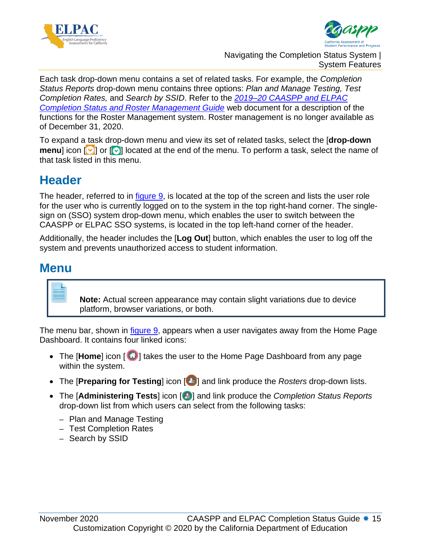



Each task drop-down menu contains a set of related tasks. For example, the *Completion Status Reports* drop-down menu contains three options: *Plan and Manage Testing, Test Completion Rates,* and *Search by SSID*. Refer to the *[2019–20 CAASPP and ELPAC](https://www.caaspp.org/rsc/pdfs/CAASPP-ELPAC.completion-status-roster-management-guide.2019-20.pdf)  [Completion Status and Roster Management Guide](https://www.caaspp.org/rsc/pdfs/CAASPP-ELPAC.completion-status-roster-management-guide.2019-20.pdf)* web document for a description of the functions for the Roster Management system. Roster management is no longer available as of December 31, 2020.

To expand a task drop-down menu and view its set of related tasks, select the [**drop-down menu**] icon [ $\vee$ ] or [ $\vee$ ] located at the end of the menu. To perform a task, select the name of that task listed in this menu.

## <span id="page-18-0"></span>**Header**

The header, referred to in [figure 9,](#page-19-0) is located at the top of the screen and lists the user role for the user who is currently logged on to the system in the top right-hand corner. The singlesign on (SSO) system drop-down menu, which enables the user to switch between the CAASPP or ELPAC SSO systems, is located in the top left-hand corner of the header.

Additionally, the header includes the [**Log Out**] button, which enables the user to log off the system and prevents unauthorized access to student information.

## <span id="page-18-1"></span>**Menu**

**Note:** Actual screen appearance may contain slight variations due to device platform, browser variations, or both.

The menu bar, shown in *figure 9*, appears when a user navigates away from the Home Page Dashboard. It contains four linked icons:

- The [**Home**] icon [  $\bigcirc$  ] takes the user to the Home Page Dashboard from any page within the system.
- The [**Preparing for Testing**] icon [80] and link produce the *Rosters* drop-down lists.
- The [Administering Tests] icon [4] and link produce the *Completion Status Reports* drop-down list from which users can select from the following tasks:
	- Plan and Manage Testing
	- Test Completion Rates
	- Search by SSID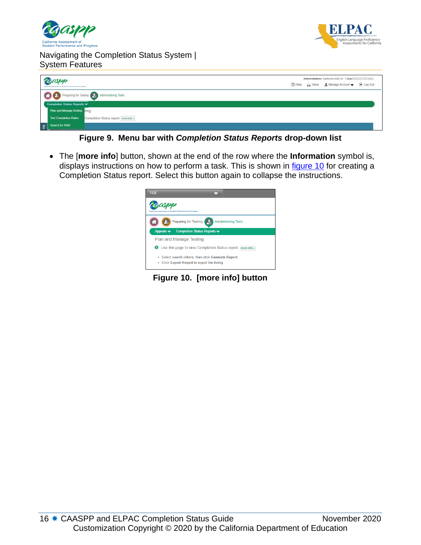



| cgaspp                                                      | Administration: California 2020-21   User:<br>(DC)<br>the C Inbox 1 Manage Account € Log Out |
|-------------------------------------------------------------|----------------------------------------------------------------------------------------------|
| Proparing for Testing & Administering Tests                 |                                                                                              |
| Completion Status Reports V                                 |                                                                                              |
| Plan and Manage Testing time                                |                                                                                              |
| Test Completion Rates Completion Status report. more into + |                                                                                              |
| Search by SSID<br>8                                         |                                                                                              |

**Figure 9. Menu bar with** *Completion Status Reports* **drop-down list**

<span id="page-19-1"></span><span id="page-19-0"></span>• The [**more info**] button, shown at the end of the row where the **Information** symbol is, displays instructions on how to perform a task. This is shown in [figure 10](#page-19-1) for creating a Completion Status report. Select this button again to collapse the instructions.



**Figure 10. [more info] button**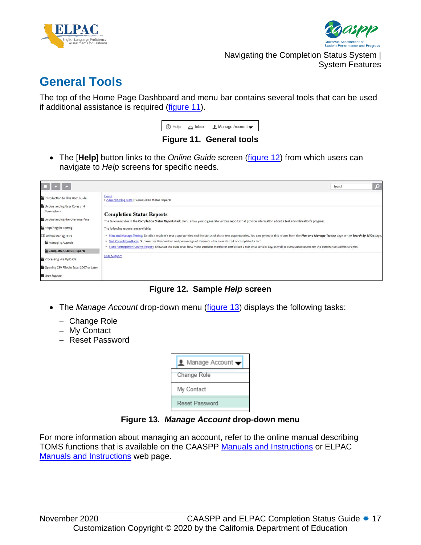



## <span id="page-20-0"></span>**General Tools**

The top of the Home Page Dashboard and menu bar contains several tools that can be used if additional assistance is required [\(figure 11\)](#page-20-1).



- 
- <span id="page-20-1"></span>• The [**Help**] button links to the *Online Guide* screen [\(figure 12\)](#page-20-2) from which users can navigate to *Help* screens for specific needs.

| $\begin{array}{c c c c c c} \hline \multicolumn{3}{c }{\mathbf{H}} & \multicolumn{3}{c }{\mathbf{H}} & \multicolumn{3}{c }{\mathbf{H}} & \multicolumn{3}{c }{\mathbf{H}} & \multicolumn{3}{c }{\mathbf{H}} & \multicolumn{3}{c }{\mathbf{H}} & \multicolumn{3}{c }{\mathbf{H}} & \multicolumn{3}{c }{\mathbf{H}} & \multicolumn{3}{c }{\mathbf{H}} & \multicolumn{3}{c }{\mathbf{H}} & \multicolumn{3}{c }{\mathbf{H}} & \multicolumn{3}{c }{\mathbf$ | $\sqrt{2}$<br>Search                                                                                                                                                                                                                                                                                                                                                                                                                                                                                                                                                                                                                                                                                                                                                                                                                                                         |
|-------------------------------------------------------------------------------------------------------------------------------------------------------------------------------------------------------------------------------------------------------------------------------------------------------------------------------------------------------------------------------------------------------------------------------------------------------|------------------------------------------------------------------------------------------------------------------------------------------------------------------------------------------------------------------------------------------------------------------------------------------------------------------------------------------------------------------------------------------------------------------------------------------------------------------------------------------------------------------------------------------------------------------------------------------------------------------------------------------------------------------------------------------------------------------------------------------------------------------------------------------------------------------------------------------------------------------------------|
| Introduction to This User Guide<br>Understanding User Roles and<br><b>Permissions</b><br>Understanding the User Interface<br>Preparing for Testing<br><b>III</b> Administering Tests<br>Managing Appeals<br>Completion Status Reports<br>Processing File Uploads<br>Opening CSV Files in Excel 2007 or Later<br>User Support                                                                                                                          | Home<br>> Administering Tests > Completion Status Reports<br><b>Completion Status Reports</b><br>The tasks available in the Completion Status Reports task menu allow you to generate various reports that provide information about a test administration's progress.<br>The following reports are available:<br>. Plan and Manage Testing: Details a student's test opportunities and the status of those test opportunities. You can generate this report from the Plan and Manage Testing page or the Search By SSIDs page.<br>. Test Completion Rates: Summarizes the number and percentage of students who have started or completed a test.<br>. State Participation Counts Report: Shows at the state level how many students started or completed a test on a certain day, as well as cumulative counts for the current test administration.<br><b>User Support</b> |



- <span id="page-20-2"></span>• The *Manage Account* drop-down menu [\(figure 13\)](#page-20-3) displays the following tasks:
	- Change Role
	- My Contact
	- Reset Password

| Manage Account $\blacktriangleright$ |
|--------------------------------------|
| Change Role                          |
| My Contact                           |
| Reset Password                       |

**Figure 13.** *Manage Account* **drop-down menu**

<span id="page-20-3"></span>For more information about managing an account, refer to the online manual describing TOMS functions that is available on the CAASPP [Manuals and Instructions](http://www.caaspp.org/administration/instructions/) or ELPAC [Manuals and Instructions](https://elpac.org/test-administration/instructions/) web page.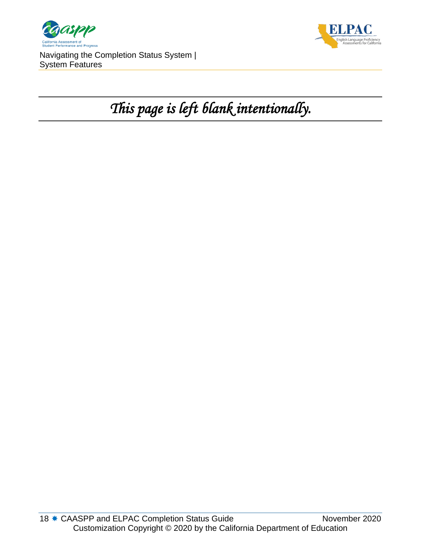



## *This page is left blank intentionally.*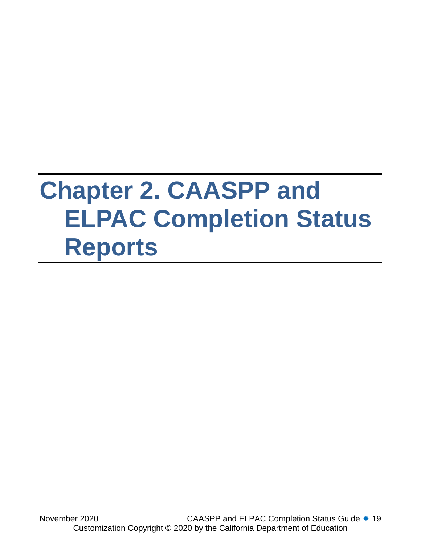## <span id="page-22-1"></span><span id="page-22-0"></span>**Chapter 2. CAASPP and ELPAC Completion Status Reports**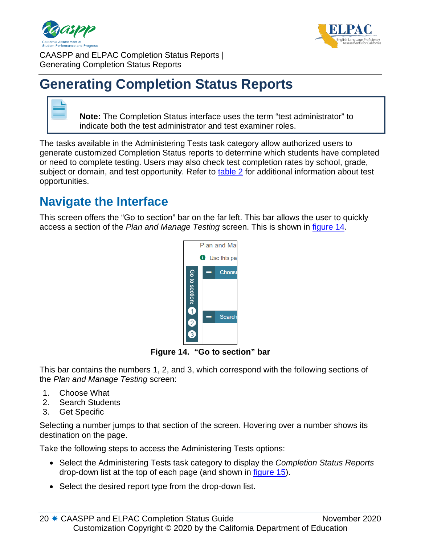



## <span id="page-23-0"></span>**Generating Completion Status Reports**

**Note:** The Completion Status interface uses the term "test administrator" to indicate both the test administrator and test examiner roles.

The tasks available in the Administering Tests task category allow authorized users to generate customized Completion Status reports to determine which students have completed or need to complete testing. Users may also check test completion rates by school, grade, subject or domain, and test opportunity. Refer to [table 2](#page-30-0) for additional information about test opportunities.

## <span id="page-23-1"></span>**Navigate the Interface**

This screen offers the "Go to section" bar on the far left. This bar allows the user to quickly access a section of the *Plan and Manage Testing* screen. This is shown in [figure 14.](#page-23-2)



**Figure 14. "Go to section" bar**

<span id="page-23-2"></span>This bar contains the numbers 1, 2, and 3, which correspond with the following sections of the *Plan and Manage Testing* screen:

- 1. Choose What
- 2. Search Students
- 3. Get Specific

Selecting a number jumps to that section of the screen. Hovering over a number shows its destination on the page.

Take the following steps to access the Administering Tests options:

- Select the Administering Tests task category to display the *Completion Status Reports* drop-down list at the top of each page (and shown in [figure](#page-24-1) 15).
- Select the desired report type from the drop-down list.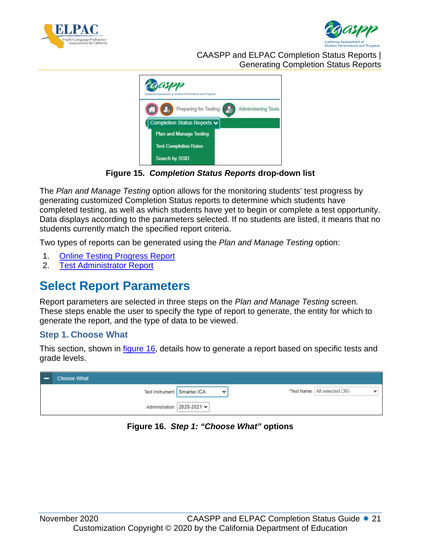





**Figure 15.** *Completion Status Reports* **drop-down list**

<span id="page-24-1"></span>The *Plan and Manage Testing* option allows for the monitoring students' test progress by generating customized Completion Status reports to determine which students have completed testing, as well as which students have yet to begin or complete a test opportunity. Data displays according to the parameters selected. If no students are listed, it means that no students currently match the specified report criteria.

Two types of reports can be generated using the *Plan and Manage Testing* option:

- 1. [Online Testing Progress Report](#page-29-2)
- 2. [Test Administrator Report](#page-34-0)

## <span id="page-24-0"></span>**Select Report Parameters**

Report parameters are selected in three steps on the *Plan and Manage Testing* screen. These steps enable the user to specify the type of report to generate, the entity for which to generate the report, and the type of data to be viewed.

#### **Step 1. Choose What**

This section, shown in [figure 16,](#page-24-2) details how to generate a report based on specific tests and grade levels.

<span id="page-24-2"></span>

| <b>Choose What</b>           |                             |             |                               |
|------------------------------|-----------------------------|-------------|-------------------------------|
| Test Instrument: Smarter ICA |                             | $\check{ }$ | *Test Name: All selected (36) |
|                              | Administration: 2020-2021 v |             |                               |

**Figure 16.** *Step 1: "Choose What"* **options**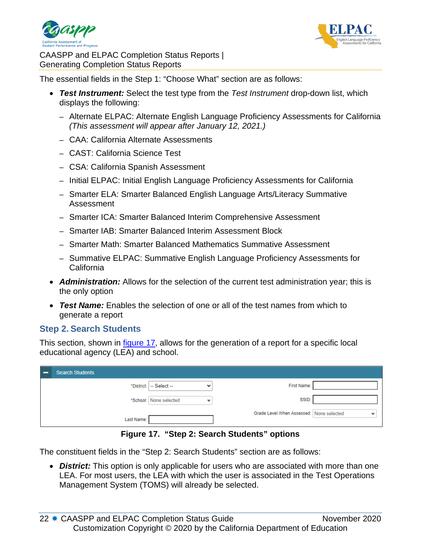



The essential fields in the Step 1: "Choose What" section are as follows:

- *Test Instrument:* Select the test type from the *Test Instrument* drop-down list, which displays the following:
	- Alternate ELPAC: Alternate English Language Proficiency Assessments for California *(This assessment will appear after January 12, 2021.)*
	- CAA: California Alternate Assessments
	- CAST: California Science Test
	- CSA: California Spanish Assessment
	- Initial ELPAC: Initial English Language Proficiency Assessments for California
	- Smarter ELA: Smarter Balanced English Language Arts/Literacy Summative Assessment
	- Smarter ICA: Smarter Balanced Interim Comprehensive Assessment
	- Smarter IAB: Smarter Balanced Interim Assessment Block
	- Smarter Math: Smarter Balanced Mathematics Summative Assessment
	- Summative ELPAC: Summative English Language Proficiency Assessments for California
- *Administration:* Allows for the selection of the current test administration year; this is the only option
- *Test Name:* Enables the selection of one or all of the test names from which to generate a report

#### **Step 2. Search Students**

This section, shown in *figure* 17, allows for the generation of a report for a specific local educational agency (LEA) and school.

| <b>Search Students</b> |                                          |                                          |  |
|------------------------|------------------------------------------|------------------------------------------|--|
|                        | *District:   -- Select --<br>$\check{ }$ | First Name:                              |  |
|                        | *School: None selected                   | SSID:                                    |  |
| Last Name:             |                                          | Grade Level When Assessed: None selected |  |

**Figure 17. "Step 2: Search Students" options**

<span id="page-25-0"></span>The constituent fields in the "Step 2: Search Students" section are as follows:

• **District:** This option is only applicable for users who are associated with more than one LEA. For most users, the LEA with which the user is associated in the Test Operations Management System (TOMS) will already be selected.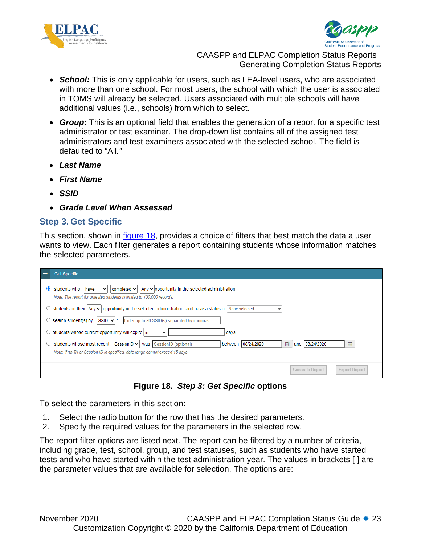



- *School:* This is only applicable for users, such as LEA-level users, who are associated with more than one school. For most users, the school with which the user is associated in TOMS will already be selected. Users associated with multiple schools will have additional values (i.e., schools) from which to select.
- *Group:* This is an optional field that enables the generation of a report for a specific test administrator or test examiner. The drop-down list contains all of the assigned test administrators and test examiners associated with the selected school. The field is defaulted to "All*."*
- *Last Name*
- *First Name*
- *SSID*
- *Grade Level When Assessed*

#### **Step 3. Get Specific**

This section, shown in [figure 18,](#page-26-0) provides a choice of filters that best match the data a user wants to view. Each filter generates a report containing students whose information matches the selected parameters.

| <b>Get Specific</b>                                                                                                                                                                                       |
|-----------------------------------------------------------------------------------------------------------------------------------------------------------------------------------------------------------|
| Any $\vee$ opportunity in the selected administration<br>students who<br>completed $\sim$<br>have<br>$\check{ }$<br>Note: The report for untested students is limited to 100,000 records.                 |
| $\circ$ students on their $\vert$ Any $\bullet$ opportunity in the selected administration, and have a status of None selected<br>▼                                                                       |
| SSID $\vee$<br>$\circ$ search student(s) by<br>Enter up to 20 SSID(s) separated by commas                                                                                                                 |
| $\circ$ students whose current opportunity will expire in<br>days.<br>$\check{ }$                                                                                                                         |
| 雦<br>▦<br>SessionID v<br>between 08/24/2020<br>and 08/24/2020<br>SessionID (optional)<br>students whose most recent<br>was<br>Note: If no TA or Session ID is specified, date range cannot exceed 15 days |
| <b>Export Report</b><br>Generate Report                                                                                                                                                                   |

**Figure 18.** *Step 3: Get Specific* **options**

<span id="page-26-0"></span>To select the parameters in this section:

- 1. Select the radio button for the row that has the desired parameters.
- 2. Specify the required values for the parameters in the selected row.

The report filter options are listed next. The report can be filtered by a number of criteria, including grade, test, school, group, and test statuses, such as students who have started tests and who have started within the test administration year. The values in brackets [ ] are the parameter values that are available for selection. The options are: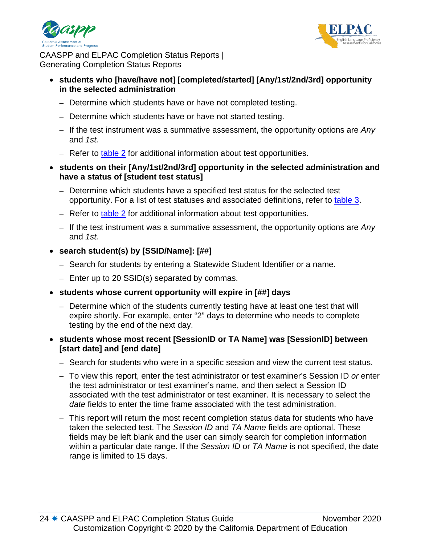



- **students who [have/have not] [completed/started] [Any/1st/2nd/3rd] opportunity in the selected administration**
	- Determine which students have or have not completed testing.
	- Determine which students have or have not started testing.
	- If the test instrument was a summative assessment, the opportunity options are *Any* and *1st.*
	- Refer to [table 2](#page-30-0) for additional information about test opportunities.
- **students on their [Any/1st/2nd/3rd] opportunity in the selected administration and have a status of [student test status]**
	- Determine which students have a specified test status for the selected test opportunity. For a list of test statuses and associated definitions, refer to [table 3.](#page-33-0)
	- Refer to [table 2](#page-30-0) for additional information about test opportunities.
	- If the test instrument was a summative assessment, the opportunity options are *Any* and *1st.*
- **search student(s) by [SSID/Name]: [##]**
	- Search for students by entering a Statewide Student Identifier or a name.
	- Enter up to 20 SSID(s) separated by commas.
- **students whose current opportunity will expire in [##] days**
	- Determine which of the students currently testing have at least one test that will expire shortly. For example, enter "2" days to determine who needs to complete testing by the end of the next day.
- **students whose most recent [SessionID or TA Name] was [SessionID] between [start date] and [end date]**
	- Search for students who were in a specific session and view the current test status.
	- To view this report, enter the test administrator or test examiner's Session ID *or* enter the test administrator or test examiner's name, and then select a Session ID associated with the test administrator or test examiner. It is necessary to select the *date* fields to enter the time frame associated with the test administration.
	- This report will return the most recent completion status data for students who have taken the selected test. The *Session ID* and *TA Name* fields are optional. These fields may be left blank and the user can simply search for completion information within a particular date range. If the *Session ID* or *TA Name* is not specified, the date range is limited to 15 days.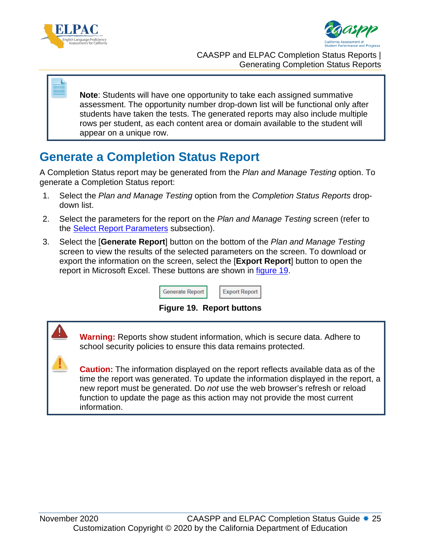



**Note**: Students will have one opportunity to take each assigned summative assessment. The opportunity number drop-down list will be functional only after students have taken the tests. The generated reports may also include multiple rows per student, as each content area or domain available to the student will appear on a unique row.

## <span id="page-28-0"></span>**Generate a Completion Status Report**

A Completion Status report may be generated from the *Plan and Manage Testing* option. To generate a Completion Status report:

- 1. Select the *Plan and Manage Testing* option from the *Completion Status Reports* dropdown list.
- 2. Select the parameters for the report on the *Plan and Manage Testing* screen (refer to the [Select Report Parameters](#page-24-0) subsection).
- 3. Select the [**Generate Report**] button on the bottom of the *Plan and Manage Testing* screen to view the results of the selected parameters on the screen. To download or export the information on the screen, select the [**Export Report**] button to open the report in Microsoft Excel. These buttons are shown in [figure 19.](#page-28-1)





<span id="page-28-1"></span>**Warning:** Reports show student information, which is secure data. Adhere to school security policies to ensure this data remains protected.

**Caution:** The information displayed on the report reflects available data as of the time the report was generated. To update the information displayed in the report, a new report must be generated. Do *not* use the web browser's refresh or reload function to update the page as this action may not provide the most current information.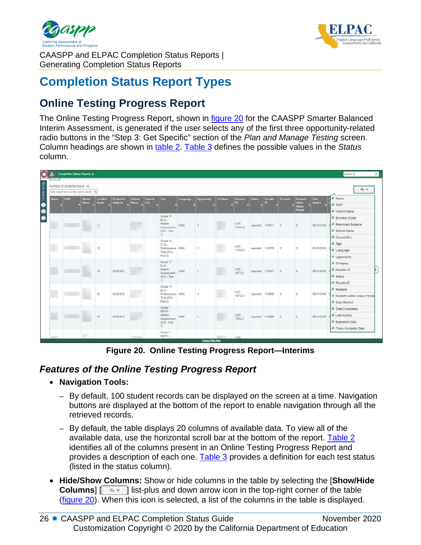



## <span id="page-29-0"></span>**Completion Status Report Types**

## <span id="page-29-2"></span>**Online Testing Progress Report**

The Online Testing Progress Report, shown in [figure 20](#page-29-1) for the CAASPP Smarter Balanced Interim Assessment, is generated if the user selects any of the first three opportunity-related radio buttons in the "Step 3: Get Specific" section of the *Plan and Manage Testing* screen. Column headings are shown in [table 2.](#page-30-0) [Table 3](#page-33-0) defines the possible values in the *Status* column.

|       | Completion Status Reports V                                                   |                 |                 |                |        |            |                               |            |                          |                |                |                 |         |                 |                 |             | Student ID                     |
|-------|-------------------------------------------------------------------------------|-----------------|-----------------|----------------|--------|------------|-------------------------------|------------|--------------------------|----------------|----------------|-----------------|---------|-----------------|-----------------|-------------|--------------------------------|
|       | Number of students found: 46<br>Enter search terms to filter search results Q |                 |                 |                |        |            |                               |            |                          |                |                |                 |         |                 |                 |             | $\overline{m}_1$ v             |
| Varne | <b>SSID</b>                                                                   | <b>District</b> | Enrolled        | Restricted     | School | Current    | <b>Test</b>                   | Language   | Opportunity              | <b>IA Name</b> | Sezaion        | Statue:         | Renalts | <b>Restarts</b> | Restarts        | <b>Date</b> | Mame                           |
|       |                                                                               | Name.           | Grade           | Subjects       | Name.  | <b>FIL</b> |                               |            |                          |                | Đ              |                 | ID      |                 | within<br>Grace | Started     | ₹ SSID                         |
|       |                                                                               |                 |                 |                |        |            |                               |            |                          |                |                |                 |         |                 | Period          |             | C District Name                |
|       |                                                                               |                 |                 |                |        |            | Grade 11<br>$ELA-$            |            |                          |                |                |                 |         |                 |                 |             | P Enrolled Grade               |
|       | <b>Contract Contract Contract Contract</b>                                    |                 |                 |                |        |            | Interim                       | <b>ENU</b> |                          |                | UAT-           | reported 110577 |         | $\Omega$        | $\theta$        | 08/22/2019  | Restricted Subjects            |
|       |                                                                               |                 |                 |                |        |            | Assessment<br>(ICA - Part     |            |                          |                | 7CF8-3         |                 |         |                 |                 |             | School Name                    |
|       |                                                                               |                 |                 |                |        |            | 1)                            |            |                          |                |                |                 |         |                 |                 |             | Current ELL                    |
|       |                                                                               |                 |                 |                |        |            | Grade 11<br>$ELA-$            |            |                          |                |                |                 |         |                 |                 |             | ₹ Test                         |
|       |                                                                               |                 | 12 <sup>°</sup> |                |        |            | Performance<br>Task (ICA-     | ENU        |                          |                | UAT-<br>7CF8-3 | reported        | 110578  | $\theta$        | $\Omega$        | 08/22/2019  | Language                       |
|       |                                                                               |                 |                 |                |        |            | Part 2                        |            |                          |                |                |                 |         |                 |                 |             | cpportunity                    |
|       |                                                                               |                 |                 |                |        |            | Grade 11<br>$ELA-$            |            |                          |                |                |                 |         |                 |                 |             | <b>Z</b> TA Name               |
|       |                                                                               |                 | 10              | <b>SCIENCE</b> |        |            | Interim                       | ENU        |                          |                | UAT-           | reported        | 110567  | $\theta$        | $\theta$        | 08/21/2019  | Session ID                     |
|       |                                                                               |                 |                 |                |        |            | Assessment<br>(ICA - Part     |            |                          |                | 16F3-3         |                 |         |                 |                 |             | el Status                      |
|       |                                                                               |                 |                 |                |        |            | 1)                            |            |                          |                |                |                 |         |                 |                 |             | Results ID                     |
|       |                                                                               |                 |                 |                |        |            | Grade 11<br>$ELA-$            |            |                          |                |                |                 |         |                 |                 |             | Restarts                       |
|       |                                                                               |                 | 10 <sub>1</sub> | SCIENCE        |        |            | Performance ENU<br>Task (ICA- |            |                          |                | UAT-<br>16F3-3 | reported 110568 |         | $\Omega$        | $\Omega$        | 08/21/2019  | A Restarts within Grace Period |
|       |                                                                               |                 |                 |                |        |            | Part 2)                       |            |                          |                |                |                 |         |                 |                 |             | Date Started                   |
|       |                                                                               |                 |                 |                |        |            | Grade 7<br>MATH-              |            |                          |                |                |                 |         |                 |                 |             | Date Completed                 |
|       |                                                                               |                 | 10              | <b>SCIENCE</b> |        |            | Interim                       | <b>ENU</b> |                          |                | UAT-           | reported 110889 |         | $\sqrt{0}$      | $\Omega$        | 08/27/2019  | Last Activity                  |
|       |                                                                               |                 |                 |                |        |            | Assessment<br>(ICA - Part     |            |                          |                | 7802-3         |                 |         |                 |                 |             | Expiration Date                |
|       |                                                                               |                 |                 |                |        |            | 1)                            |            |                          |                |                |                 |         |                 |                 |             | <b>E</b> Force Complete Date   |
|       |                                                                               |                 |                 |                |        |            | Grade 7<br>MATH-              |            |                          |                |                |                 |         |                 |                 |             |                                |
|       |                                                                               |                 |                 |                |        |            |                               |            | <b>Contact Help Desk</b> |                | HAT.           |                 |         |                 |                 |             |                                |

**Figure 20. Online Testing Progress Report—Interims**

#### <span id="page-29-1"></span>*Features of the Online Testing Progress Report*

- **Navigation Tools:**
	- By default, 100 student records can be displayed on the screen at a time. Navigation buttons are displayed at the bottom of the report to enable navigation through all the retrieved records.
	- By default, the table displays 20 columns of available data. To view all of the available data, use the horizontal scroll bar at the bottom of the report. [Table 2](#page-30-0) identifies all of the columns present in an Online Testing Progress Report and provides a description of each one. [Table 3](#page-33-0) provides a definition for each test status (listed in the status column).
- **Hide/Show Columns:** Show or hide columns in the table by selecting the [**Show/Hide Columns**]  $\left[\begin{array}{c} \equiv \\ \equiv \\ \end{array}\right]$  list-plus and down arrow icon in the top-right corner of the table [\(figure 20\)](#page-29-1). When this icon is selected, a list of the columns in the table is displayed.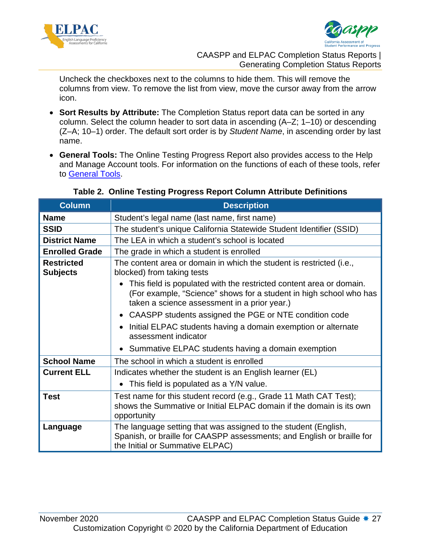



Uncheck the checkboxes next to the columns to hide them. This will remove the columns from view. To remove the list from view, move the cursor away from the arrow icon.

- **Sort Results by Attribute:** The Completion Status report data can be sorted in any column. Select the column header to sort data in ascending (A–Z; 1–10) or descending (Z–A; 10–1) order. The default sort order is by *Student Name*, in ascending order by last name.
- **General Tools:** The Online Testing Progress Report also provides access to the Help and Manage Account tools. For information on the functions of each of these tools, refer to [General Tools.](#page-20-0)

<span id="page-30-0"></span>

| <b>Column</b>                        | <b>Description</b>                                                                                                                                                                        |
|--------------------------------------|-------------------------------------------------------------------------------------------------------------------------------------------------------------------------------------------|
| <b>Name</b>                          | Student's legal name (last name, first name)                                                                                                                                              |
| <b>SSID</b>                          | The student's unique California Statewide Student Identifier (SSID)                                                                                                                       |
| <b>District Name</b>                 | The LEA in which a student's school is located                                                                                                                                            |
| <b>Enrolled Grade</b>                | The grade in which a student is enrolled                                                                                                                                                  |
| <b>Restricted</b><br><b>Subjects</b> | The content area or domain in which the student is restricted (i.e.,<br>blocked) from taking tests                                                                                        |
|                                      | This field is populated with the restricted content area or domain.<br>(For example, "Science" shows for a student in high school who has<br>taken a science assessment in a prior year.) |
|                                      | • CAASPP students assigned the PGE or NTE condition code                                                                                                                                  |
|                                      | Initial ELPAC students having a domain exemption or alternate<br>assessment indicator                                                                                                     |
|                                      | Summative ELPAC students having a domain exemption                                                                                                                                        |
| <b>School Name</b>                   | The school in which a student is enrolled                                                                                                                                                 |
| <b>Current ELL</b>                   | Indicates whether the student is an English learner (EL)                                                                                                                                  |
|                                      | This field is populated as a Y/N value.                                                                                                                                                   |
| <b>Test</b>                          | Test name for this student record (e.g., Grade 11 Math CAT Test);<br>shows the Summative or Initial ELPAC domain if the domain is its own<br>opportunity                                  |
| Language                             | The language setting that was assigned to the student (English,<br>Spanish, or braille for CAASPP assessments; and English or braille for<br>the Initial or Summative ELPAC)              |

#### **Table 2. Online Testing Progress Report Column Attribute Definitions**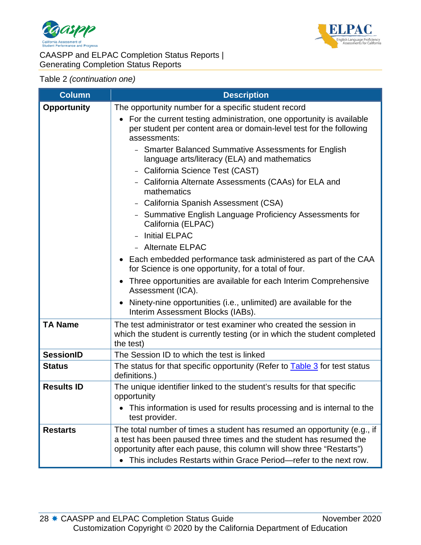



#### [Table 2](#page-30-0) *(continuation one)*

| <b>Column</b>      | <b>Description</b>                                                                                                                                                                                                      |
|--------------------|-------------------------------------------------------------------------------------------------------------------------------------------------------------------------------------------------------------------------|
| <b>Opportunity</b> | The opportunity number for a specific student record                                                                                                                                                                    |
|                    | • For the current testing administration, one opportunity is available<br>per student per content area or domain-level test for the following<br>assessments:                                                           |
|                    | - Smarter Balanced Summative Assessments for English<br>language arts/literacy (ELA) and mathematics<br>- California Science Test (CAST)                                                                                |
|                    | - California Alternate Assessments (CAAs) for ELA and<br>mathematics                                                                                                                                                    |
|                    | - California Spanish Assessment (CSA)                                                                                                                                                                                   |
|                    | - Summative English Language Proficiency Assessments for<br>California (ELPAC)                                                                                                                                          |
|                    | - Initial ELPAC                                                                                                                                                                                                         |
|                    | - Alternate ELPAC                                                                                                                                                                                                       |
|                    | Each embedded performance task administered as part of the CAA<br>for Science is one opportunity, for a total of four.                                                                                                  |
|                    | Three opportunities are available for each Interim Comprehensive<br>Assessment (ICA).                                                                                                                                   |
|                    | Ninety-nine opportunities (i.e., unlimited) are available for the<br>Interim Assessment Blocks (IABs).                                                                                                                  |
| <b>TA Name</b>     | The test administrator or test examiner who created the session in<br>which the student is currently testing (or in which the student completed<br>the test)                                                            |
| <b>SessionID</b>   | The Session ID to which the test is linked                                                                                                                                                                              |
| <b>Status</b>      | The status for that specific opportunity (Refer to <b>Table 3</b> for test status<br>definitions.)                                                                                                                      |
| <b>Results ID</b>  | The unique identifier linked to the student's results for that specific<br>opportunity                                                                                                                                  |
|                    | This information is used for results processing and is internal to the<br>$\bullet$<br>test provider.                                                                                                                   |
| <b>Restarts</b>    | The total number of times a student has resumed an opportunity (e.g., if<br>a test has been paused three times and the student has resumed the<br>opportunity after each pause, this column will show three "Restarts") |
|                    | This includes Restarts within Grace Period-refer to the next row.                                                                                                                                                       |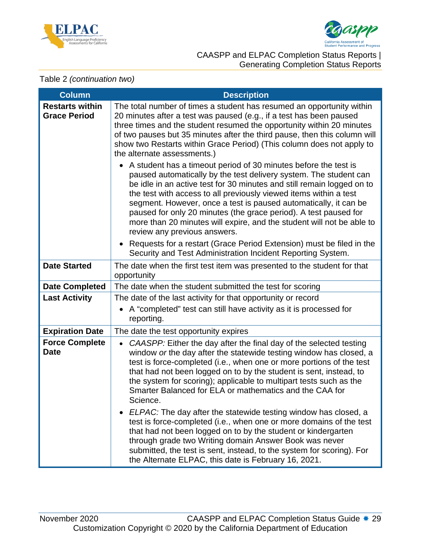



#### [Table 2](#page-30-0) *(continuation two)*

| <b>Column</b>                                 | <b>Description</b>                                                                                                                                                                                                                                                                                                                                                                                                                                                                                                                   |
|-----------------------------------------------|--------------------------------------------------------------------------------------------------------------------------------------------------------------------------------------------------------------------------------------------------------------------------------------------------------------------------------------------------------------------------------------------------------------------------------------------------------------------------------------------------------------------------------------|
| <b>Restarts within</b><br><b>Grace Period</b> | The total number of times a student has resumed an opportunity within<br>20 minutes after a test was paused (e.g., if a test has been paused<br>three times and the student resumed the opportunity within 20 minutes<br>of two pauses but 35 minutes after the third pause, then this column will<br>show two Restarts within Grace Period) (This column does not apply to<br>the alternate assessments.)                                                                                                                           |
|                                               | A student has a timeout period of 30 minutes before the test is<br>paused automatically by the test delivery system. The student can<br>be idle in an active test for 30 minutes and still remain logged on to<br>the test with access to all previously viewed items within a test<br>segment. However, once a test is paused automatically, it can be<br>paused for only 20 minutes (the grace period). A test paused for<br>more than 20 minutes will expire, and the student will not be able to<br>review any previous answers. |
|                                               | Requests for a restart (Grace Period Extension) must be filed in the<br>$\bullet$<br>Security and Test Administration Incident Reporting System.                                                                                                                                                                                                                                                                                                                                                                                     |
| <b>Date Started</b>                           | The date when the first test item was presented to the student for that<br>opportunity                                                                                                                                                                                                                                                                                                                                                                                                                                               |
| <b>Date Completed</b>                         | The date when the student submitted the test for scoring                                                                                                                                                                                                                                                                                                                                                                                                                                                                             |
| <b>Last Activity</b>                          | The date of the last activity for that opportunity or record                                                                                                                                                                                                                                                                                                                                                                                                                                                                         |
|                                               | A "completed" test can still have activity as it is processed for<br>reporting.                                                                                                                                                                                                                                                                                                                                                                                                                                                      |
| <b>Expiration Date</b>                        | The date the test opportunity expires                                                                                                                                                                                                                                                                                                                                                                                                                                                                                                |
| <b>Force Complete</b><br><b>Date</b>          | CAASPP: Either the day after the final day of the selected testing<br>$\bullet$<br>window or the day after the statewide testing window has closed, a<br>test is force-completed (i.e., when one or more portions of the test<br>that had not been logged on to by the student is sent, instead, to<br>the system for scoring); applicable to multipart tests such as the<br>Smarter Balanced for ELA or mathematics and the CAA for<br>Science.                                                                                     |
|                                               | ELPAC: The day after the statewide testing window has closed, a<br>test is force-completed (i.e., when one or more domains of the test<br>that had not been logged on to by the student or kindergarten<br>through grade two Writing domain Answer Book was never<br>submitted, the test is sent, instead, to the system for scoring). For<br>the Alternate ELPAC, this date is February 16, 2021.                                                                                                                                   |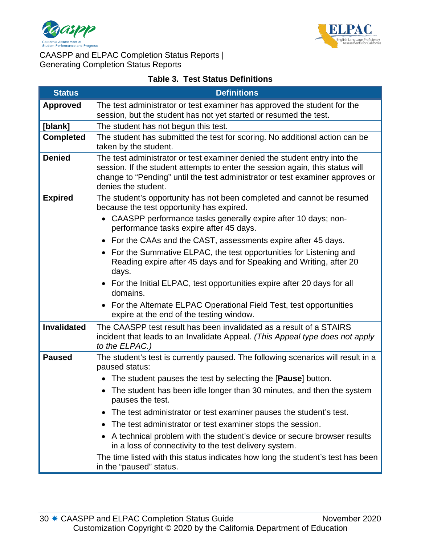



<span id="page-33-0"></span>

| <b>Status</b>      | <b>Definitions</b>                                                                                                                                                                                                                                                 |
|--------------------|--------------------------------------------------------------------------------------------------------------------------------------------------------------------------------------------------------------------------------------------------------------------|
| <b>Approved</b>    | The test administrator or test examiner has approved the student for the                                                                                                                                                                                           |
|                    | session, but the student has not yet started or resumed the test.                                                                                                                                                                                                  |
| [blank]            | The student has not begun this test.                                                                                                                                                                                                                               |
| <b>Completed</b>   | The student has submitted the test for scoring. No additional action can be<br>taken by the student.                                                                                                                                                               |
| <b>Denied</b>      | The test administrator or test examiner denied the student entry into the<br>session. If the student attempts to enter the session again, this status will<br>change to "Pending" until the test administrator or test examiner approves or<br>denies the student. |
| <b>Expired</b>     | The student's opportunity has not been completed and cannot be resumed<br>because the test opportunity has expired.                                                                                                                                                |
|                    | CAASPP performance tasks generally expire after 10 days; non-<br>$\bullet$<br>performance tasks expire after 45 days.                                                                                                                                              |
|                    | For the CAAs and the CAST, assessments expire after 45 days.<br>$\bullet$                                                                                                                                                                                          |
|                    | For the Summative ELPAC, the test opportunities for Listening and<br>$\bullet$<br>Reading expire after 45 days and for Speaking and Writing, after 20<br>days.                                                                                                     |
|                    | • For the Initial ELPAC, test opportunities expire after 20 days for all<br>domains.                                                                                                                                                                               |
|                    | • For the Alternate ELPAC Operational Field Test, test opportunities<br>expire at the end of the testing window.                                                                                                                                                   |
| <b>Invalidated</b> | The CAASPP test result has been invalidated as a result of a STAIRS<br>incident that leads to an Invalidate Appeal. (This Appeal type does not apply<br>to the ELPAC.)                                                                                             |
| <b>Paused</b>      | The student's test is currently paused. The following scenarios will result in a<br>paused status:                                                                                                                                                                 |
|                    | • The student pauses the test by selecting the [Pause] button.                                                                                                                                                                                                     |
|                    | The student has been idle longer than 30 minutes, and then the system<br>pauses the test.                                                                                                                                                                          |
|                    | The test administrator or test examiner pauses the student's test.                                                                                                                                                                                                 |
|                    | The test administrator or test examiner stops the session.                                                                                                                                                                                                         |
|                    | A technical problem with the student's device or secure browser results<br>in a loss of connectivity to the test delivery system.                                                                                                                                  |
|                    | The time listed with this status indicates how long the student's test has been<br>in the "paused" status.                                                                                                                                                         |

#### **Table 3. Test Status Definitions**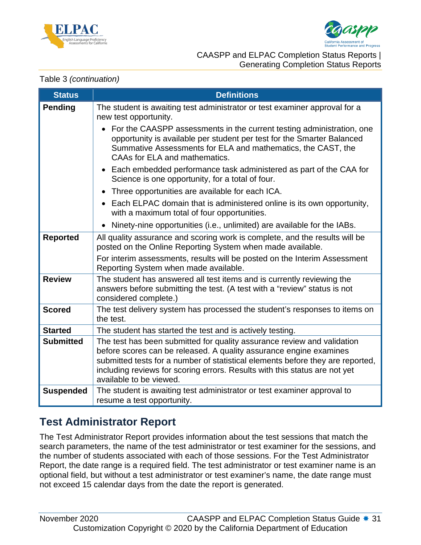



#### [Table 3](#page-33-0) *(continuation)*

| <b>Status</b>    | <b>Definitions</b>                                                                                                                                                                                                                                                                                                                       |
|------------------|------------------------------------------------------------------------------------------------------------------------------------------------------------------------------------------------------------------------------------------------------------------------------------------------------------------------------------------|
| <b>Pending</b>   | The student is awaiting test administrator or test examiner approval for a<br>new test opportunity.                                                                                                                                                                                                                                      |
|                  | For the CAASPP assessments in the current testing administration, one<br>opportunity is available per student per test for the Smarter Balanced<br>Summative Assessments for ELA and mathematics, the CAST, the<br>CAAs for ELA and mathematics.                                                                                         |
|                  | Each embedded performance task administered as part of the CAA for<br>Science is one opportunity, for a total of four.                                                                                                                                                                                                                   |
|                  | Three opportunities are available for each ICA.                                                                                                                                                                                                                                                                                          |
|                  | Each ELPAC domain that is administered online is its own opportunity,<br>with a maximum total of four opportunities.                                                                                                                                                                                                                     |
|                  | Ninety-nine opportunities (i.e., unlimited) are available for the IABs.                                                                                                                                                                                                                                                                  |
| <b>Reported</b>  | All quality assurance and scoring work is complete, and the results will be<br>posted on the Online Reporting System when made available.                                                                                                                                                                                                |
|                  | For interim assessments, results will be posted on the Interim Assessment<br>Reporting System when made available.                                                                                                                                                                                                                       |
| <b>Review</b>    | The student has answered all test items and is currently reviewing the<br>answers before submitting the test. (A test with a "review" status is not<br>considered complete.)                                                                                                                                                             |
| <b>Scored</b>    | The test delivery system has processed the student's responses to items on<br>the test.                                                                                                                                                                                                                                                  |
| <b>Started</b>   | The student has started the test and is actively testing.                                                                                                                                                                                                                                                                                |
| <b>Submitted</b> | The test has been submitted for quality assurance review and validation<br>before scores can be released. A quality assurance engine examines<br>submitted tests for a number of statistical elements before they are reported,<br>including reviews for scoring errors. Results with this status are not yet<br>available to be viewed. |
| <b>Suspended</b> | The student is awaiting test administrator or test examiner approval to<br>resume a test opportunity.                                                                                                                                                                                                                                    |

### <span id="page-34-0"></span>**Test Administrator Report**

The Test Administrator Report provides information about the test sessions that match the search parameters, the name of the test administrator or test examiner for the sessions, and the number of students associated with each of those sessions. For the Test Administrator Report, the date range is a required field. The test administrator or test examiner name is an optional field, but without a test administrator or test examiner's name, the date range must not exceed 15 calendar days from the date the report is generated.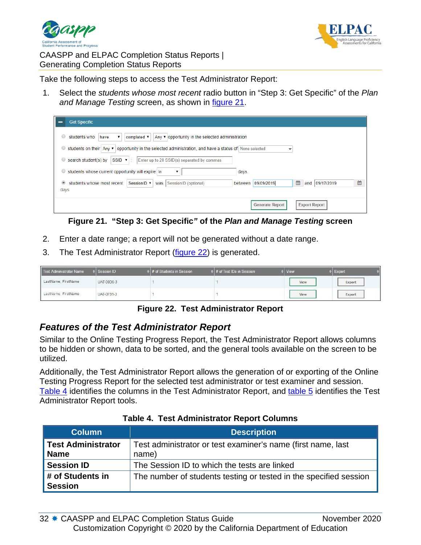



Take the following steps to access the Test Administrator Report:

1. Select the *students whose most recent* radio button in "Step 3: Get Specific" of the *Plan and Manage Testing* screen, as shown in [figure 21.](#page-35-1)

| <b>Get Specific</b>                                                                                                                                            |
|----------------------------------------------------------------------------------------------------------------------------------------------------------------|
| have<br>students who<br>completed ▼<br>Any v opportunity in the selected administration<br>$\bullet$<br>$\circ$                                                |
| students on their $\vert$ Any $\blacktriangledown$ opportunity in the selected administration, and have a status of None selected<br>$\circ$<br>v              |
| $SSID \triangleright$<br>search student(s) by<br>Enter up to 20 SSID(s) separated by commas<br>$\circ$                                                         |
| students whose current opportunity will expire in<br>$\circ$<br>days.                                                                                          |
| 雦<br>雦<br>and 09/17/2019<br>09/09/2019<br>$^{\circ}$<br>students whose most recent<br>SessionID <sub>V</sub><br>SessionID (optional)<br>between<br>was<br>days |
| <b>Export Report</b><br><b>Generate Report</b>                                                                                                                 |

**Figure 21. "Step 3: Get Specific***"* **of the** *Plan and Manage Testing* **screen**

- <span id="page-35-1"></span>2. Enter a date range; a report will not be generated without a date range.
- 3. The Test Administrator Report [\(figure 22\)](#page-35-2) is generated.

| Test Administrator Name | $\triangleq$ Session ID | $\frac{1}{2}$ # of Students in Session | $\triangleq$ # of Test IDs in Session | Wiew | $\parallel$ Export |
|-------------------------|-------------------------|----------------------------------------|---------------------------------------|------|--------------------|
| LastName, FirstName     | UAT-00D6-3              |                                        |                                       | View | Export             |
| LastName, FirstName     | UAT-0F91-3              |                                        |                                       | View | Export             |

**Figure 22. Test Administrator Report**

### <span id="page-35-2"></span>*Features of the Test Administrator Report*

Similar to the Online Testing Progress Report, the Test Administrator Report allows columns to be hidden or shown, data to be sorted, and the general tools available on the screen to be utilized.

Additionally, the Test Administrator Report allows the generation of or exporting of the Online Testing Progress Report for the selected test administrator or test examiner and session. [Table 4](#page-35-0) identifies the columns in the Test Administrator Report, and [table 5](#page-36-0) identifies the Test Administrator Report tools.

<span id="page-35-0"></span>

| <b>Column</b>                            | <b>Description</b>                                                    |
|------------------------------------------|-----------------------------------------------------------------------|
| <b>Test Administrator</b><br><b>Name</b> | Test administrator or test examiner's name (first name, last<br>name) |
| <b>Session ID</b>                        | The Session ID to which the tests are linked                          |
| # of Students in<br><b>Session</b>       | The number of students testing or tested in the specified session     |

**Table 4. Test Administrator Report Columns**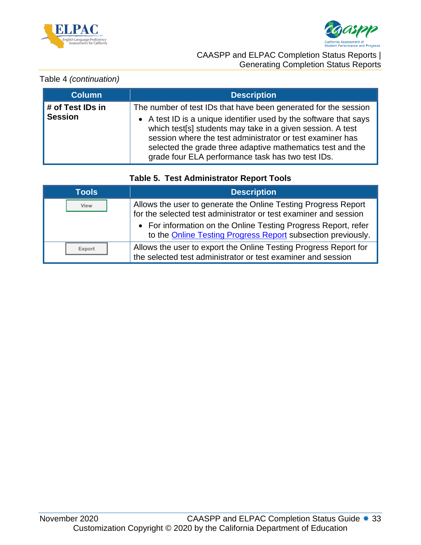



#### [Table 4](#page-35-0) *(continuation)*

| <b>Column</b>                      | <b>Description</b>                                                                                                                                                                                                                                                                                                                                                                 |
|------------------------------------|------------------------------------------------------------------------------------------------------------------------------------------------------------------------------------------------------------------------------------------------------------------------------------------------------------------------------------------------------------------------------------|
| # of Test IDs in<br><b>Session</b> | The number of test IDs that have been generated for the session<br>• A test ID is a unique identifier used by the software that says<br>which test[s] students may take in a given session. A test<br>session where the test administrator or test examiner has<br>selected the grade three adaptive mathematics test and the<br>grade four ELA performance task has two test IDs. |

#### **Table 5. Test Administrator Report Tools**

<span id="page-36-0"></span>

| <b>Tools</b> | <b>Description</b>                                                                                                                                                                                                                                                   |
|--------------|----------------------------------------------------------------------------------------------------------------------------------------------------------------------------------------------------------------------------------------------------------------------|
| <b>View</b>  | Allows the user to generate the Online Testing Progress Report<br>for the selected test administrator or test examiner and session<br>• For information on the Online Testing Progress Report, refer<br>to the Online Testing Progress Report subsection previously. |
| Export       | Allows the user to export the Online Testing Progress Report for<br>the selected test administrator or test examiner and session                                                                                                                                     |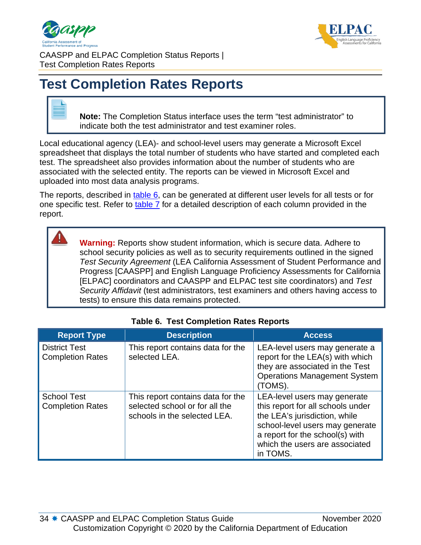



## <span id="page-37-0"></span>**Test Completion Rates Reports**

**Note:** The Completion Status interface uses the term "test administrator" to indicate both the test administrator and test examiner roles.

Local educational agency (LEA)- and school-level users may generate a Microsoft Excel spreadsheet that displays the total number of students who have started and completed each test. The spreadsheet also provides information about the number of students who are associated with the selected entity. The reports can be viewed in Microsoft Excel and uploaded into most data analysis programs.

The reports, described in [table 6,](#page-37-1) can be generated at different user levels for all tests or for one specific test. Refer to [table 7](#page-40-0) for a detailed description of each column provided in the report.

> **Warning:** Reports show student information, which is secure data. Adhere to school security policies as well as to security requirements outlined in the signed *Test Security Agreement* (LEA California Assessment of Student Performance and Progress [CAASPP] and English Language Proficiency Assessments for California [ELPAC] coordinators and CAASPP and ELPAC test site coordinators) and *Test Security Affidavit* (test administrators, test examiners and others having access to tests) to ensure this data remains protected.

<span id="page-37-1"></span>

| <b>Report Type</b>                              | <b>Description</b>                                                                                  | <b>Access</b>                                                                                                                                                                                                          |
|-------------------------------------------------|-----------------------------------------------------------------------------------------------------|------------------------------------------------------------------------------------------------------------------------------------------------------------------------------------------------------------------------|
| <b>District Test</b><br><b>Completion Rates</b> | This report contains data for the<br>selected LEA.                                                  | LEA-level users may generate a<br>report for the LEA(s) with which<br>they are associated in the Test<br><b>Operations Management System</b><br>(TOMS).                                                                |
| <b>School Test</b><br><b>Completion Rates</b>   | This report contains data for the<br>selected school or for all the<br>schools in the selected LEA. | LEA-level users may generate<br>this report for all schools under<br>the LEA's jurisdiction, while<br>school-level users may generate<br>a report for the school(s) with<br>which the users are associated<br>in TOMS. |

#### **Table 6. Test Completion Rates Reports**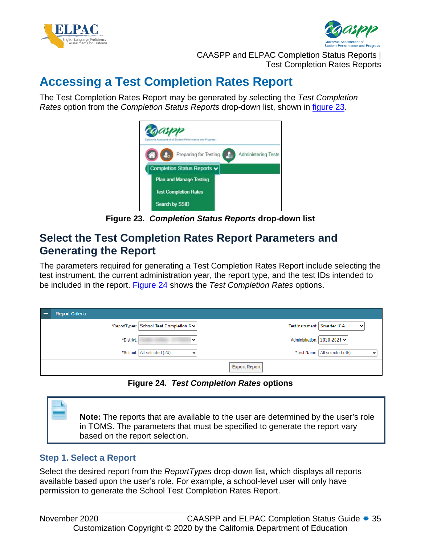



## <span id="page-38-0"></span>**Accessing a Test Completion Rates Report**

The Test Completion Rates Report may be generated by selecting the *Test Completion Rates* option from the *Completion Status Reports* drop-down list, shown in [figure 23.](#page-38-1)



**Figure 23.** *Completion Status Reports* **drop-down list**

### <span id="page-38-1"></span>**Select the Test Completion Rates Report Parameters and Generating the Report**

The parameters required for generating a Test Completion Rates Report include selecting the test instrument, the current administration year, the report type, and the test IDs intended to be included in the report. [Figure 24](#page-38-2) shows the *Test Completion Rates* options.

| <b>Report Criteria</b> |                                                              |                              |                               |
|------------------------|--------------------------------------------------------------|------------------------------|-------------------------------|
|                        | *ReportTypes: School Test Completion F $\blacktriangleright$ | Test Instrument: Smarter ICA | $\checkmark$                  |
| *District:             | $\check{ }$                                                  | Administration: 2020-2021 ↓  |                               |
|                        | *School: All selected (24)                                   |                              | *Test Name: All selected (36) |
|                        |                                                              | <b>Export Report</b>         |                               |

**Figure 24.** *Test Completion Rates* **options**

<span id="page-38-2"></span>

|--|

#### **Step 1. Select a Report**

Select the desired report from the *ReportTypes* drop-down list, which displays all reports available based upon the user's role. For example, a school-level user will only have permission to generate the School Test Completion Rates Report.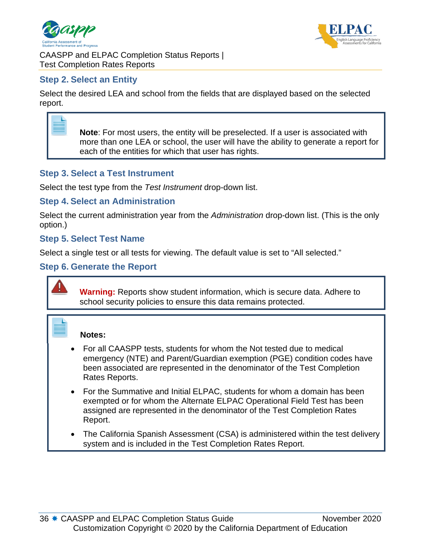

#### **Step 2. Select an Entity**

Select the desired LEA and school from the fields that are displayed based on the selected report.

> **Note**: For most users, the entity will be preselected. If a user is associated with more than one LEA or school, the user will have the ability to generate a report for each of the entities for which that user has rights.

#### **Step 3. Select a Test Instrument**

Select the test type from the *Test Instrument* drop-down list.

#### **Step 4. Select an Administration**

Select the current administration year from the *Administration* drop-down list. (This is the only option.)

#### **Step 5. Select Test Name**

**Notes:** 

Select a single test or all tests for viewing. The default value is set to "All selected."

#### **Step 6. Generate the Report**

**Warning:** Reports show student information, which is secure data. Adhere to school security policies to ensure this data remains protected.

- For all CAASPP tests, students for whom the Not tested due to medical emergency (NTE) and Parent/Guardian exemption (PGE) condition codes have been associated are represented in the denominator of the Test Completion Rates Reports.
- For the Summative and Initial ELPAC, students for whom a domain has been exempted or for whom the Alternate ELPAC Operational Field Test has been assigned are represented in the denominator of the Test Completion Rates Report.
- The California Spanish Assessment (CSA) is administered within the test delivery system and is included in the Test Completion Rates Report.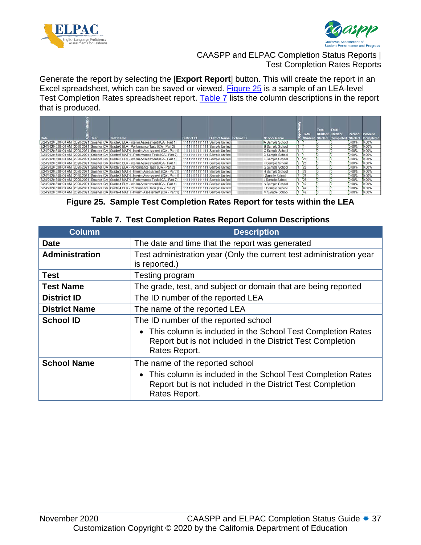



Generate the report by selecting the [**Export Report**] button. This will create the report in an Excel spreadsheet, which can be saved or viewed. [Figure 25](#page-40-1) is a sample of an LEA-level Test Completion Rates spreadsheet report. [Table 7](#page-40-0) lists the column descriptions in the report that is produced.

| Date | Test | <b>Test Name</b>                                                                             | <b>District ID</b>            | District Name School ID | <b>School Name</b>     | <b>Total</b> | Total<br><b>Student Student</b> | Total<br>Student Started Completed Started Completed | Percent Percent |       |
|------|------|----------------------------------------------------------------------------------------------|-------------------------------|-------------------------|------------------------|--------------|---------------------------------|------------------------------------------------------|-----------------|-------|
|      |      | 8/24/2020 5:00:00 AM 2020-2021 Smarter ICA   Grade 6 ELA - Interim Assessment (ICA - Part 1) | 1111111111111 Sample Unified  |                         | A Sample School        |              |                                 |                                                      | 0.00%           | 0.00% |
|      |      | 8/24/2020 5:00:00 AM 2020-2021 Smarter ICA Grade 6 ELA - Performance Task (ICA - Part 2)     | 1111111111111 Sample Unified  |                         | <b>B</b> Sample School |              |                                 |                                                      | 0.00%           | 0.00% |
|      |      | 8/24/2020 5:00:00 AM 2020-2021 Smarter ICA Grade 6 MATH - Interim Assessment (ICA - Part 1)  | 1111111111111 Sample Unified  |                         | C Sample School        |              |                                 |                                                      | 0.00%           | 0.00% |
|      |      | 8/24/2020 5:00:00 AM 2020-2021 Smarter ICA Grade 6 MATH - Performance Task (ICA - Part 2)    | 1111111111111 Sample Unified  |                         | D Sample School        |              |                                 |                                                      | 0.00%           | 0.00% |
|      |      | 8/24/2020 5:00:00 AM 2020-2021 Smarter ICA Grade 3 ELA - Interim Assessment (ICA - Part 1)   | 1111111111111 Sample Unified  |                         | E Sample School        | 28           |                                 |                                                      | 0.00%           | 0.00% |
|      |      | 8/24/2020 5:00:00 AM 2020-2021 Smarter ICA Grade 3 ELA - Interim Assessment (ICA - Part 1)   | 1111111111111 Sample Unified  |                         | F Sample School        | $^{128}$     |                                 |                                                      | 0.00%           | 0.00% |
|      |      | 8/24/2020 5:00:00 AM 2020-2021 Smarter ICA Grade 3 ELA - Performance Task (ICA - Part 2)     | 11111111111111 Sample Unified |                         | G Sample School        | $^{28}$      |                                 |                                                      | 0.00%           | 0.00% |
|      |      | 8/24/2020 5:00:00 AM 2020-2021 Smarter ICA Grade 3 MATH - Interim Assessment (ICA - Part 1)  | 1111111111111 Sample Unified  |                         | H Sample School        | 28           |                                 |                                                      | 0.00%           | 0.00% |
|      |      | 8/24/2020 5:00:00 AM 2020-2021 Smarter ICA Grade 3 MATH - Interim Assessment (ICA - Part 1)  | 1111111111111 Sample Unified  |                         | I Sample School        | 128          |                                 |                                                      | 0.00%           | 0.00% |
|      |      | 8/24/2020 5:00:00 AM 2020-2021 Smarter ICA Grade 3 MATH - Performance Task (ICA - Part 2)    | 11111111111111 Sample Unified |                         | J Sample School        | $\sqrt{28}$  |                                 |                                                      | 0.00%           | 0.00% |
|      |      | 8/24/2020 5 00:00 AM 2020-2021 Smarter ICA Grade 4 ELA - Interim Assessment (ICA - Part 1)   | 1111111111111 Sample Unified  |                         | K Sample School        | 42           |                                 |                                                      | 0.00%           | 0.00% |
|      |      | 8/24/2020 5:00:00 AM 2020-2021 Smarter ICA Grade 4 ELA - Performance Task (ICA - Part 2)     | 11111111111111 Sample Unified |                         | L Sample School        | 42           |                                 |                                                      | 0.00%           | 0.00% |
|      |      | 8/24/2020 5:00:00 AM 2020-2021 Smarter ICA Grade 4 MATH - Interim Assessment (ICA - Part 1)  | 11111111111111 Sample Unified |                         | M Sample School        | 42           |                                 |                                                      | 0.00%           | 0.00% |

<span id="page-40-1"></span>**Figure 25. Sample Test Completion Rates Report for tests within the LEA**

|  | Table 7. Test Completion Rates Report Column Descriptions |  |
|--|-----------------------------------------------------------|--|
|  |                                                           |  |

<span id="page-40-0"></span>

| <b>Column</b>         | <b>Description</b>                                                                                                                           |
|-----------------------|----------------------------------------------------------------------------------------------------------------------------------------------|
| <b>Date</b>           | The date and time that the report was generated                                                                                              |
| <b>Administration</b> | Test administration year (Only the current test administration year<br>is reported.)                                                         |
| <b>Test</b>           | Testing program                                                                                                                              |
| <b>Test Name</b>      | The grade, test, and subject or domain that are being reported                                                                               |
| <b>District ID</b>    | The ID number of the reported LEA                                                                                                            |
| <b>District Name</b>  | The name of the reported LEA                                                                                                                 |
| <b>School ID</b>      | The ID number of the reported school                                                                                                         |
|                       | • This column is included in the School Test Completion Rates<br>Report but is not included in the District Test Completion<br>Rates Report. |
| <b>School Name</b>    | The name of the reported school                                                                                                              |
|                       | • This column is included in the School Test Completion Rates<br>Report but is not included in the District Test Completion<br>Rates Report. |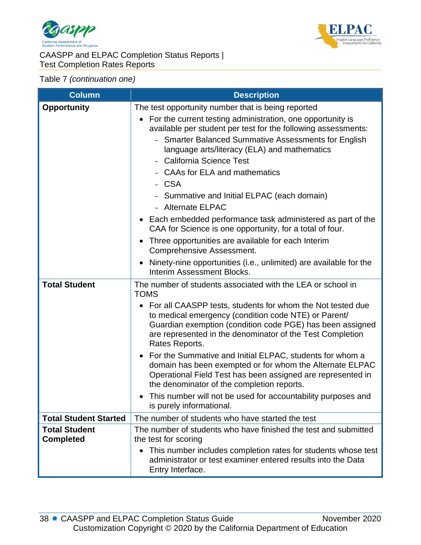



#### [Table 7](#page-40-0) *(continuation one)*

| <b>Column</b>                            | <b>Description</b>                                                                                                                                                                                                                                                                                                                                                                                                                                                                                                                                                                                                                                                                                                                                             |  |
|------------------------------------------|----------------------------------------------------------------------------------------------------------------------------------------------------------------------------------------------------------------------------------------------------------------------------------------------------------------------------------------------------------------------------------------------------------------------------------------------------------------------------------------------------------------------------------------------------------------------------------------------------------------------------------------------------------------------------------------------------------------------------------------------------------------|--|
| <b>Opportunity</b>                       | The test opportunity number that is being reported<br>For the current testing administration, one opportunity is<br>available per student per test for the following assessments:<br>- Smarter Balanced Summative Assessments for English<br>language arts/literacy (ELA) and mathematics<br>- California Science Test<br>- CAAs for ELA and mathematics<br>- CSA<br>- Summative and Initial ELPAC (each domain)<br>- Alternate ELPAC<br>• Each embedded performance task administered as part of the<br>CAA for Science is one opportunity, for a total of four.<br>Three opportunities are available for each Interim<br><b>Comprehensive Assessment.</b><br>Ninety-nine opportunities (i.e., unlimited) are available for the<br>Interim Assessment Blocks. |  |
| <b>Total Student</b>                     | The number of students associated with the LEA or school in<br><b>TOMS</b><br>For all CAASPP tests, students for whom the Not tested due<br>$\bullet$<br>to medical emergency (condition code NTE) or Parent/<br>Guardian exemption (condition code PGE) has been assigned<br>are represented in the denominator of the Test Completion<br>Rates Reports.<br>For the Summative and Initial ELPAC, students for whom a<br>$\bullet$<br>domain has been exempted or for whom the Alternate ELPAC<br>Operational Field Test has been assigned are represented in<br>the denominator of the completion reports.<br>This number will not be used for accountability purposes and<br>is purely informational.                                                        |  |
| <b>Total Student Started</b>             | The number of students who have started the test                                                                                                                                                                                                                                                                                                                                                                                                                                                                                                                                                                                                                                                                                                               |  |
| <b>Total Student</b><br><b>Completed</b> | The number of students who have finished the test and submitted<br>the test for scoring<br>This number includes completion rates for students whose test<br>administrator or test examiner entered results into the Data<br>Entry Interface.                                                                                                                                                                                                                                                                                                                                                                                                                                                                                                                   |  |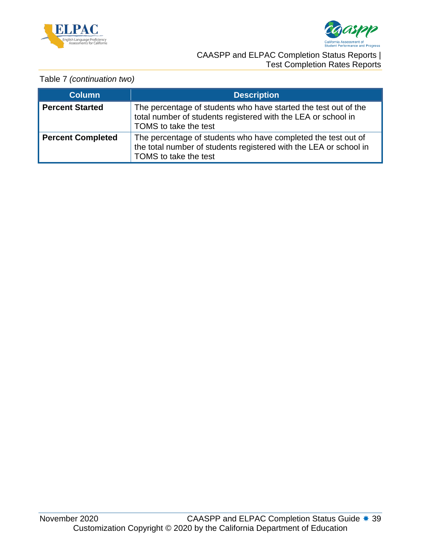



#### [Table 7](#page-40-0) *(continuation two)*

| <b>Column</b>            | <b>Description</b>                                                                                                                                          |
|--------------------------|-------------------------------------------------------------------------------------------------------------------------------------------------------------|
| <b>Percent Started</b>   | The percentage of students who have started the test out of the<br>total number of students registered with the LEA or school in<br>TOMS to take the test   |
| <b>Percent Completed</b> | The percentage of students who have completed the test out of<br>the total number of students registered with the LEA or school in<br>TOMS to take the test |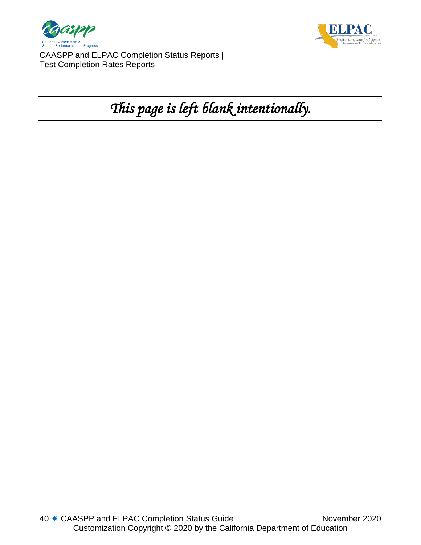



## *This page is left blank intentionally.*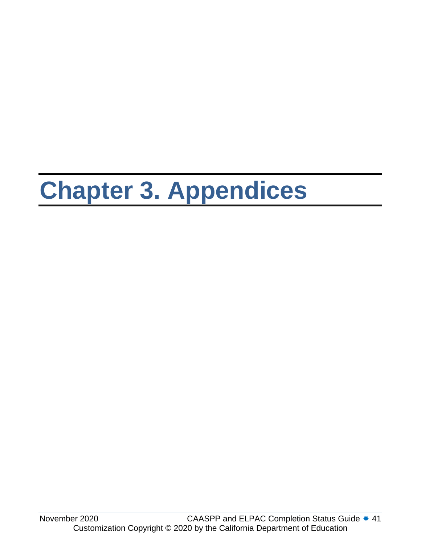# <span id="page-44-1"></span><span id="page-44-0"></span>**Chapter 3. Appendices**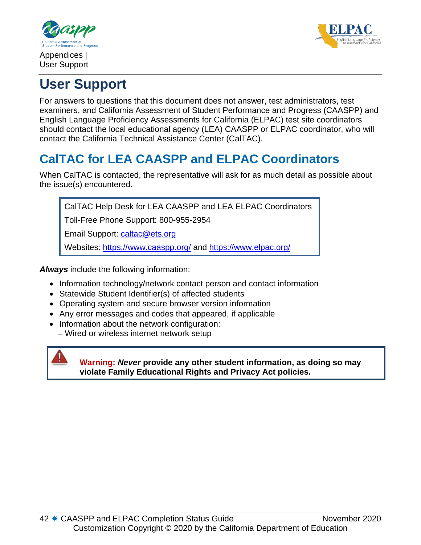



Appendices | User Support

## <span id="page-45-0"></span>**User Support**

For answers to questions that this document does not answer, test administrators, test examiners, and California Assessment of Student Performance and Progress (CAASPP) and English Language Proficiency Assessments for California (ELPAC) test site coordinators should contact the local educational agency (LEA) CAASPP or ELPAC coordinator, who will contact the California Technical Assistance Center (CalTAC).

## <span id="page-45-1"></span>**CalTAC for LEA CAASPP and ELPAC Coordinators**

When CalTAC is contacted, the representative will ask for as much detail as possible about the issue(s) encountered.

CalTAC Help Desk for LEA CAASPP and LEA ELPAC Coordinators

Toll-Free Phone Support: 800-955-2954

Email Support: [caltac@ets.org](mailto:caltac@ets.org)

Websites:<https://www.caaspp.org/> and<https://www.elpac.org/>

*Always* include the following information:

- Information technology/network contact person and contact information
- Statewide Student Identifier(s) of affected students
- Operating system and secure browser version information
- Any error messages and codes that appeared, if applicable
- Information about the network configuration:
	- Wired or wireless internet network setup

**Warning:** *Never* **provide any other student information, as doing so may violate Family Educational Rights and Privacy Act policies.**